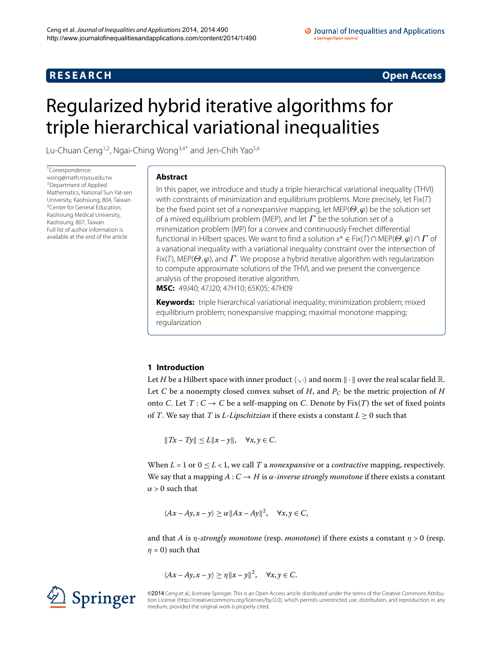# **R E S E A R C H Open Access**

# <span id="page-0-0"></span>Regularized hybrid iterative algorithms for triple hierarchical variational inequalities

Lu-Chuan Ceng<sup>1,[2](#page-24-1)</sup>, Ngai-Ching Wong<sup>[3](#page-24-2)[,4](#page-24-3)[\\*](#page-0-0)</sup> and Jen-Chih Yao<sup>[5](#page-24-4),[6](#page-24-5)</sup>

\* Correspondence: [wong@math.nsysu.edu.tw](mailto:wong@math.nsysu.edu.tw) 3Department of Applied Mathematics, National Sun Yat-sen [U](#page-24-3)niversity, Kaohsiung, 804, Taiwan 4Center for General Education, Kaohsiung Medical University, Kaohsiung, 807, Taiwan Full list of author information is available at the end of the article

### **Abstract**

In this paper, we introduce and study a triple hierarchical variational inequality (THVI) with constraints of minimization and equilibrium problems. More precisely, let Fix(T) be the fixed point set of a nonexpansive mapping, let MEP(*Θ*,*ϕ*) be the solution set of a mixed equilibrium problem (MEP), and let *Γ* be the solution set of a minimization problem (MP) for a convex and continuously Frechet differential functional in Hilbert spaces. We want to find a solution x<sup>∗</sup> ∈ Fix(T) ∩ MEP(*Θ*,*ϕ*) ∩ *Γ* of a variational inequality with a variational inequality constraint over the intersection of Fix(T), MEP(*Θ*,*ϕ*), and *Γ* . We propose a hybrid iterative algorithm with regularization to compute approximate solutions of the THVI, and we present the convergence analysis of the proposed iterative algorithm. **MSC:** 49J40; 47J20; 47H10; 65K05; 47H09

**Keywords:** triple hierarchical variational inequality; minimization problem; mixed equilibrium problem; nonexpansive mapping; maximal monotone mapping; regularization

## **1 Introduction**

Let *H* be a Hilbert space with inner product  $\langle \cdot, \cdot \rangle$  and norm  $\| \cdot \|$  over the real scalar field  $\mathbb{R}$ . Let *C* be a nonempty closed convex subset of *H*, and  $P_C$  be the metric projection of *H* onto *C*. Let  $T: C \to C$  be a self-mapping on *C*. Denote by Fix(*T*) the set of fixed points of *T*. We say that *T* is *L*-*Lipschitzian* if there exists a constant  $L > 0$  such that

 $||Tx - Ty|| \le L||x - y||$ ,  $\forall x, y \in C$ .

When  $L = 1$  or  $0 \le L < 1$ , we call *T* a *nonexpansive* or a *contractive* mapping, respectively. We say that a mapping *A* : *C* → *H* is *α*-*inverse strongly monotone* if there exists a constant  $\alpha > 0$  such that

$$
\langle Ax - Ay, x - y \rangle \ge \alpha ||Ax - Ay||^2, \quad \forall x, y \in C,
$$

and that *A* is *η-strongly monotone* (resp. *monotone*) if there exists a constant  $\eta > 0$  (resp.  $\eta = 0$ ) such that

$$
\langle Ax - Ay, x - y \rangle \ge \eta \|x - y\|^2, \quad \forall x, y \in C.
$$

©2014 Ceng et al.; licensee Springer. This is an Open Access article distributed under the terms of the Creative Commons Attribution License ([http://creativecommons.org/licenses/by/2.0\)](http://creativecommons.org/licenses/by/2.0), which permits unrestricted use, distribution, and reproduction in any medium, provided the original work is properly cited.

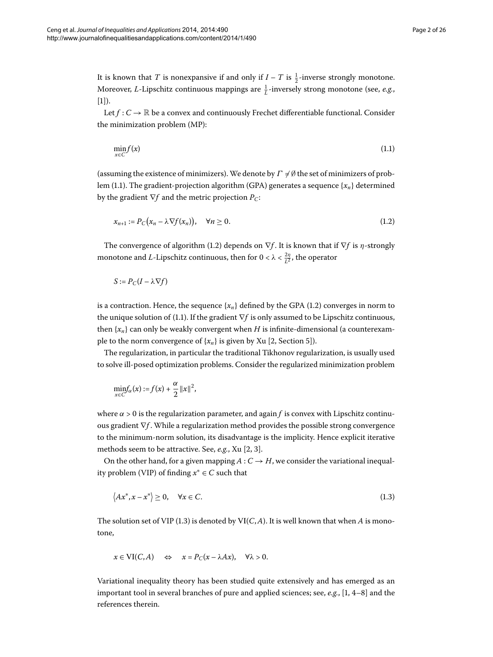It is known that *T* is nonexpansive if and only if  $I - T$  is  $\frac{1}{2}$ -inverse strongly monotone. Moreover, *L*-Lipschitz continuous mappings are *<sup>L</sup>* -inversely strong monotone (see, *e.g.*,  $[1]$  $[1]$ .

Let  $f: C \to \mathbb{R}$  be a convex and continuously Frechet differentiable functional. Consider the minimization problem (MP):

<span id="page-1-1"></span><span id="page-1-0"></span>
$$
\min_{x \in C} f(x) \tag{1.1}
$$

(assuming the existence of minimizers). We denote by  $\Gamma \neq \emptyset$  the set of minimizers of prob-lem (1[.](#page-1-0)1). The gradient-projection algorithm (GPA) generates a sequence  ${x_n}$  determined by the gradient ∇*f* and the metric projection *PC*:

$$
x_{n+1} := P_C(x_n - \lambda \nabla f(x_n)), \quad \forall n \ge 0.
$$
 (1.2)

The convergence of algorithm (1.2) depends on  $\nabla f$ . It is known that if  $\nabla f$  is *η*-strongly monotone and *L*-Lipschitz continuous, then for  $0 < \lambda < \frac{2\eta}{L^2}$ , the operator

$$
S := P_C(I - \lambda \nabla f)
$$

is a contraction. Hence, the sequence  $\{x_n\}$  defined by the GPA (1.2) converges in norm to the unique solution of (1[.](#page-1-0)1). If the gradient  $∇f$  is only assumed to be Lipschitz continuous, then  ${x_n}$  can only be weakly convergent when *H* is infinite-dimensional (a counterexample to the norm convergence of  $\{x_n\}$  is given by Xu [\[](#page-24-7)2, Section 5]).

The regularization, in particular the traditional Tikhonov regularization, is usually used to solve ill-posed optimization problems. Consider the regularized minimization problem

<span id="page-1-2"></span>
$$
\min_{x \in C} f_{\alpha}(x) := f(x) + \frac{\alpha}{2} ||x||^2,
$$

where  $\alpha > 0$  is the regularization parameter, and again *f* is convex with Lipschitz continuous gradient ∇*f* . While a regularization method provides the possible strong convergence to the minimum-norm solution, its disadvantage is the implicity. Hence explicit iterative methods seem to be attractive. See[,](#page-24-7) *e.g.*, Xu [2, 3].

On the other hand, for a given mapping  $A: C \rightarrow H$ , we consider the variational inequality problem (VIP) of finding  $x^* \in C$  such that

$$
\langle Ax^*, x - x^* \rangle \ge 0, \quad \forall x \in C. \tag{1.3}
$$

The solution set of VIP (1.3) is denoted by  $VI(C, A)$ . It is well known that when *A* is monotone,

$$
x \in \text{VI}(C, A) \quad \Leftrightarrow \quad x = P_C(x - \lambda Ax), \quad \forall \lambda > 0.
$$

Variational inequality theory has been studied quite extensively and has emerged as an important tool in several branches of pure and applied sciences; see,  $e.g., [1, 4-8]$  and the references therein.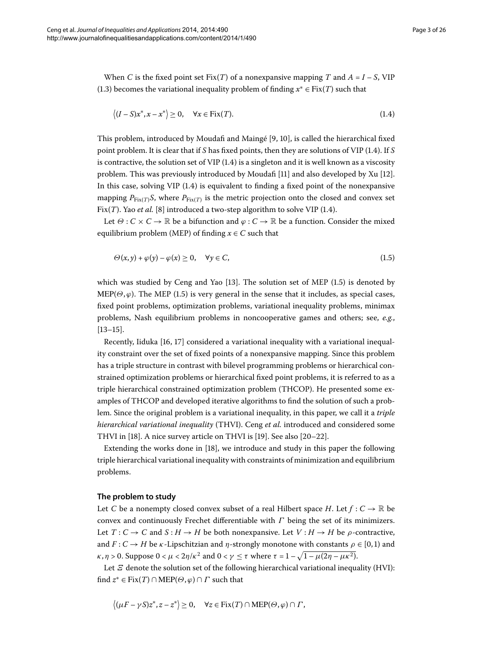When *C* is the fixed point set Fix(*T*) of a nonexpansive mapping *T* and  $A = I - S$ , VIP (1[.](#page-1-2)3) becomes the variational inequality problem of finding  $x^* \in Fix(T)$  such that

<span id="page-2-1"></span><span id="page-2-0"></span>
$$
\langle (I - S)x^*, x - x^* \rangle \ge 0, \quad \forall x \in \text{Fix}(T). \tag{1.4}
$$

This problem, introduced by Moudafi and Maingé  $[9, 10]$  $[9, 10]$ , is called the hierarchical fixed point problem[.](#page-2-0) It is clear that if *S* has fixed points, then they are solutions of VIP (1.4). If *S* is contractive, the solution set of VIP  $(1.4)$  is a singleton and it is well known as a viscosity problem. This was previously introduced by Moudafi  $[11]$  $[11]$  $[11]$  and also developed by Xu  $[12]$ . In this case, solving VIP  $(1.4)$  $(1.4)$  $(1.4)$  is equivalent to finding a fixed point of the nonexpansive mapping  $P_{Fix(T)}S$ , where  $P_{Fix(T)}$  is the metric projection onto the closed and convex set Fix( $T$ ). Yao *et al.* [\[](#page-25-0)8] introduced a two-step algorithm to solve VIP (1.4).

Let  $\Theta$  :  $C \times C \rightarrow \mathbb{R}$  be a bifunction and  $\varphi$  :  $C \rightarrow \mathbb{R}$  be a function. Consider the mixed equilibrium problem (MEP) of finding  $x \in C$  such that

$$
\Theta(x, y) + \varphi(y) - \varphi(x) \ge 0, \quad \forall y \in C,
$$
\n(1.5)

which was studied by Ceng and Yao  $[13]$  $[13]$ . The solution set of MEP  $(1.5)$  is denoted by MEP( $\Theta$ , $\varphi$ )[.](#page-2-1) The MEP (1.5) is very general in the sense that it includes, as special cases, fixed point problems, optimization problems, variational inequality problems, minimax problems, Nash equilibrium problems in noncooperative games and others; see, *e.g.*,  $[13-15]$  $[13-15]$ .

Recently[,](#page-25-7) Iiduka  $[16, 17]$  $[16, 17]$  considered a variational inequality with a variational inequality constraint over the set of fixed points of a nonexpansive mapping. Since this problem has a triple structure in contrast with bilevel programming problems or hierarchical constrained optimization problems or hierarchical fixed point problems, it is referred to as a triple hierarchical constrained optimization problem (THCOP). He presented some examples of THCOP and developed iterative algorithms to find the solution of such a problem. Since the original problem is a variational inequality, in this paper, we call it a *triple hierarchical variational inequality* (THVI). Ceng *et al.* introduced and considered some THVI in [18[\]](#page-25-9). A nice survey article on THVI is [\[](#page-25-10)19]. See also [20-22].

Extending the works done in  $[18]$  $[18]$ , we introduce and study in this paper the following triple hierarchical variational inequality with constraints of minimization and equilibrium problems.

#### **The problem to study**

Let *C* be a nonempty closed convex subset of a real Hilbert space *H*. Let  $f: C \to \mathbb{R}$  be convex and continuously Frechet differentiable with *Γ* being the set of its minimizers. Let  $T: C \to C$  and  $S: H \to H$  be both nonexpansive. Let  $V: H \to H$  be *ρ*-contractive, and  $F: C \to H$  be *κ*-Lipschitzian and *η*-strongly monotone with constants  $\rho \in [0,1)$  and *κ*, *η* > 0. Suppose  $0 < \mu < 2\eta/\kappa^2$  and  $0 < \gamma \leq \tau$  where  $\tau = 1 - \sqrt{1 - \mu(2\eta - \mu\kappa^2)}$ .

Let *Ξ* denote the solution set of the following hierarchical variational inequality (HVI): find  $z^* \in Fix(T) \cap MEP(\Theta, \varphi) \cap \Gamma$  such that

$$
\langle (\mu F - \gamma S) z^*, z - z^* \rangle \ge 0, \quad \forall z \in \text{Fix}(T) \cap \text{MEP}(\Theta, \varphi) \cap \Gamma,
$$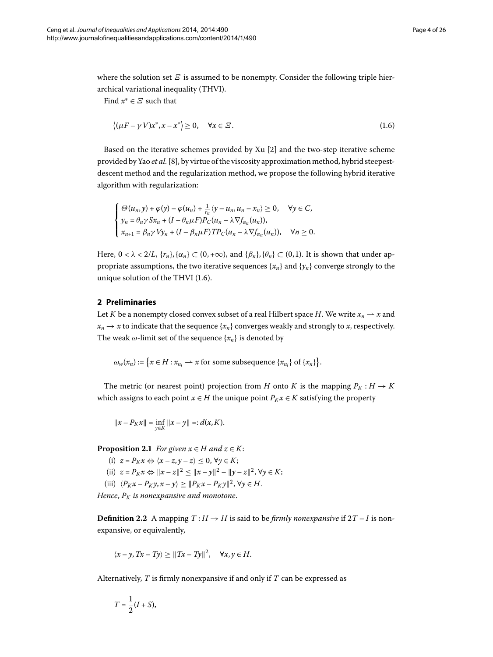where the solution set  $E$  is assumed to be nonempty. Consider the following triple hierarchical variational inequality (THVI).

Find *x*<sup>∗</sup> ∈ *Ξ* such that

<span id="page-3-0"></span>
$$
\langle (\mu F - \gamma V)x^*, x - x^* \rangle \ge 0, \quad \forall x \in \mathcal{Z}.
$$
 (1.6)

Based on the iterative schemes provided by  $Xu$  [\[](#page-24-7)2] and the two-step iterative scheme provided by Yao *et al.*[[\]](#page-25-0), by virtue of the viscosity approximation method, hybrid steepestdescent method and the regularization method, we propose the following hybrid iterative algorithm with regularization:

$$
\begin{cases}\n\Theta(u_n, y) + \varphi(y) - \varphi(u_n) + \frac{1}{r_n} \langle y - u_n, u_n - x_n \rangle \ge 0, & \forall y \in C, \\
y_n = \theta_n \gamma S x_n + (I - \theta_n \mu F) P_C(u_n - \lambda \nabla f_{\alpha_n}(u_n)), \\
x_{n+1} = \beta_n \gamma V y_n + (I - \beta_n \mu F) T P_C(u_n - \lambda \nabla f_{\alpha_n}(u_n)), & \forall n \ge 0.\n\end{cases}
$$

Here,  $0 < \lambda < 2/L$ ,  $\{r_n\}$ ,  $\{\alpha_n\} \subset (0, +\infty)$ , and  $\{\beta_n\}$ ,  $\{\theta_n\} \subset (0, 1)$ . It is shown that under appropriate assumptions, the two iterative sequences  ${x_n}$  and  ${y_n}$  converge strongly to the unique solution of the THVI  $(1.6)$ .

#### **2 Preliminaries**

Let *K* be a nonempty closed convex subset of a real Hilbert space *H*. We write  $x_n \rightharpoonup x$  and  $x_n \rightarrow x$  to indicate that the sequence { $x_n$ } converges weakly and strongly to *x*, respectively. The weak  $\omega$ -limit set of the sequence  $\{x_n\}$  is denoted by

 $\omega_w(x_n) := \left\{ x \in H : x_{n_i} \to x \text{ for some subsequence } \{x_{n_i}\} \text{ of } \{x_n\} \right\}.$ 

The metric (or nearest point) projection from *H* onto *K* is the mapping  $P_K : H \to K$ which assigns to each point  $x \in H$  the unique point  $P_K x \in K$  satisfying the property

$$
||x - P_K x|| = \inf_{y \in K} ||x - y|| =: d(x, K).
$$

**Proposition 2.1** *For given*  $x \in H$  *and*  $z \in K$ :

(i)  $z = P_K x \Leftrightarrow \langle x - z, y - z \rangle \leq 0, \forall y \in K;$ (ii)  $z = P_K x \Leftrightarrow ||x - z||^2 \le ||x - y||^2 - ||y - z||^2$ ,  $\forall y \in K$ ; (iii)  $\langle P_K x - P_K y, x - y \rangle \ge ||P_K x - P_K y||^2, \forall y \in H.$ 

*Hence*,  $P_K$  *is nonexpansive and monotone.* 

**Definition 2.2** A mapping  $T : H \to H$  is said to be *firmly nonexpansive* if  $2T - I$  is nonexpansive, or equivalently,

$$
\langle x-y, Tx-Ty \rangle \ge ||Tx-Ty||^2, \quad \forall x, y \in H.
$$

Alternatively, *T* is firmly nonexpansive if and only if *T* can be expressed as

$$
T=\frac{1}{2}(I+S),
$$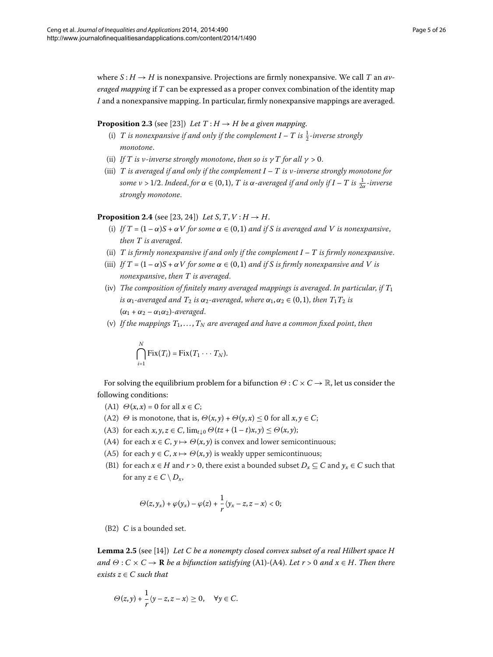<span id="page-4-0"></span>where  $S: H \to H$  is nonexpansive. Projections are firmly nonexpansive. We call *T* an *averaged mapping* if *T* can be expressed as a proper convex combination of the identity map *I* and a nonexpansive mapping. In particular, firmly nonexpansive mappings are averaged.

#### **Proposition 2.3** (see [\[](#page-25-13)23]) *Let*  $T: H \rightarrow H$  *be a given mapping.*

- <span id="page-4-1"></span>(i) *T is nonexpansive if and only if the complement*  $I - T$  *is*  $\frac{1}{2}$ -inverse strongly *monotone*.
- (ii) *If T* is *v*-inverse strongly monotone, then so is  $\gamma T$  for all  $\gamma > 0$ .
- (iii) *T is averaged if and only if the complement I T is ν-inverse strongly monotone for some*  $\nu$  > 1/2. Indeed, for  $\alpha \in (0,1)$ ,  $T$  is  $\alpha$ -averaged if and only if  $I - T$  is  $\frac{1}{2\alpha}$ -inverse *strongly monotone*.

#### **Proposition 2.4** (see [23, 24[\]](#page-25-14)) *Let S*, *T*, *V* : *H*  $\rightarrow$  *H*.

- (i) If  $T = (1 \alpha)S + \alpha V$  for some  $\alpha \in (0, 1)$  and if S is averaged and V is nonexpansive, *then T is averaged*.
- (ii) *T is firmly nonexpansive if and only if the complement I T is firmly nonexpansive*.
- (iii) *If*  $T = (1 \alpha)S + \alpha V$  *for some*  $\alpha \in (0, 1)$  *and if S is firmly nonexpansive and V is nonexpansive*, *then T is averaged*.
- (iv) *The composition of finitely many averaged mappings is averaged*. *In particular*, *if T is*  $\alpha_1$ -averaged and  $T_2$  *is*  $\alpha_2$ -averaged, where  $\alpha_1, \alpha_2 \in (0,1)$ , then  $T_1T_2$  *is*  $(\alpha_1 + \alpha_2 - \alpha_1 \alpha_2)$ -averaged.
- (v) If the mappings  $T_1, \ldots, T_N$  are averaged and have a common fixed point, then

$$
\bigcap_{i=1}^N \text{Fix}(T_i) = \text{Fix}(T_1 \cdots T_N).
$$

For solving the equilibrium problem for a bifunction *<sup>Θ</sup>* : *<sup>C</sup>* <sup>×</sup>*<sup>C</sup>* <sup>→</sup> <sup>R</sup>, let us consider the following conditions:

- (A1)  $\Theta(x, x) = 0$  for all  $x \in C$ ;
- (A2)  $\Theta$  is monotone, that is,  $\Theta(x, y) + \Theta(y, x) \leq 0$  for all  $x, y \in C$ ;
- (A3) for each  $x, y, z \in C$ ,  $\lim_{t \downarrow 0} \Theta(tz + (1-t)x, y) \leq \Theta(x, y);$
- (A4) for each  $x \in C$ ,  $y \mapsto \Theta(x, y)$  is convex and lower semicontinuous;
- (A5) for each  $y \in C$ ,  $x \mapsto \Theta(x, y)$  is weakly upper semicontinuous;
- <span id="page-4-2"></span>(B1) for each  $x \in H$  and  $r > 0$ , there exist a bounded subset  $D_x \subseteq C$  and  $y_x \in C$  such that for any  $z \in C \setminus D_x$ ,

$$
\Theta(z,y_x)+\varphi(y_x)-\varphi(z)+\frac{1}{r}\langle y_x-z,z-x\rangle<0;
$$

(B2) *C* is a bounded set.

**Lemma 2.5** (see [\[](#page-25-15)14]) *Let C be a nonempty closed convex subset of a real Hilbert space H and*  $\Theta$  :  $C \times C \rightarrow \mathbb{R}$  *be a bifunction satisfying* (A1)-(A4). *Let*  $r > 0$  *and*  $x \in H$ . Then there *exists*  $z \in C$  *such that* 

$$
\Theta(z,y)+\frac{1}{r}\langle y-z,z-x\rangle\geq 0,\quad \forall y\in C.
$$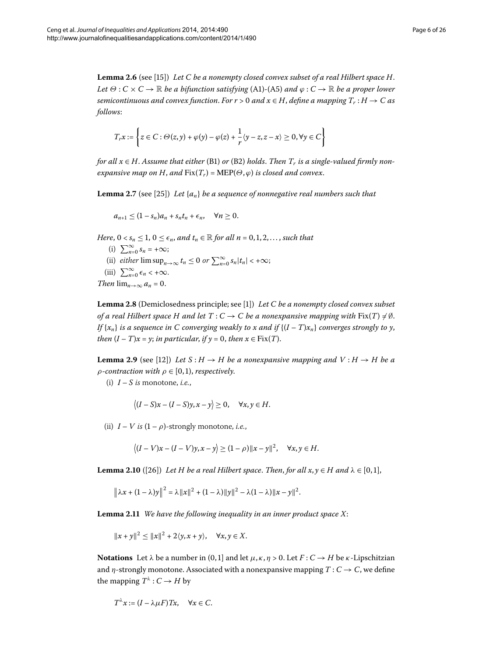<span id="page-5-3"></span>**Lemma .** (see [\[](#page-25-6)]) *Let C be a nonempty closed convex subset of a real Hilbert space H*. *Let*  $\Theta: C \times C \to \mathbb{R}$  *be a bifunction satisfying* (A1)-(A5) *and*  $\varphi: C \to \mathbb{R}$  *be a proper lower semicontinuous and convex function. For*  $r > 0$  *and*  $x \in H$ *, define a mapping*  $T_r : H \to C$  as *follows*:

<span id="page-5-0"></span>
$$
T_r x := \left\{ z \in C : \Theta(z, y) + \varphi(y) - \varphi(z) + \frac{1}{r} \langle y - z, z - x \rangle \geq 0, \forall y \in C \right\}
$$

*for all*  $x \in H$ . Assume that either (B1) or (B2) holds. Then  $T_r$  is a single-valued firmly non*expansive map on H, and*  $Fix(T_r) = MEP(\Theta, \varphi)$  *is closed and convex.* 

**Lemma 2.7** (see [25]) *Let*  $\{a_n\}$  *be a sequence of nonnegative real numbers such that* 

<span id="page-5-4"></span>
$$
a_{n+1}\leq (1-s_n)a_n+s_nt_n+\epsilon_n,\quad \forall n\geq 0.
$$

*Here*,  $0 < s_n \leq 1$ ,  $0 \leq \epsilon_n$ , and  $t_n \in \mathbb{R}$  for all  $n = 0, 1, 2, \ldots$ , such that

- (i)  $\sum_{n=0}^{\infty} s_n = +\infty;$
- (ii) *either*  $\limsup_{n\to\infty} t_n \leq 0$  *or*  $\sum_{n=0}^{\infty} s_n |t_n| < +\infty$ ;
- (iii)  $\sum_{n=0}^{\infty} \epsilon_n < +\infty$ .

*Then*  $\lim_{n\to\infty} a_n = 0$ .

**Lemma 2.8** (Demiclosedness principle; see [1]) *Let C be a nonempty closed convex subset of a real Hilbert space H and let*  $T: C \to C$  *be a nonexpansive mapping with*  $Fix(T) \neq \emptyset$ . *If*  $\{x_n\}$  *is a sequence in C converging weakly to x and if*  $\{(I-T)x_n\}$  *converges strongly to y*, *then*  $(I - T)x = y$ ; *in particular*, *if*  $y = 0$ , *then*  $x \in Fix(T)$ .

**Lemma 2.9** (see [12]) Let  $S : H \to H$  be a nonexpansive mapping and  $V : H \to H$  be a *ρ-contraction with*  $\rho \in [0, 1)$ *, respectively.* 

<span id="page-5-1"></span>(i)  $I - S$  *is* monotone, *i.e.*,

$$
\langle (I-S)x - (I-S)y, x - y \rangle \ge 0, \quad \forall x, y \in H.
$$

<span id="page-5-2"></span>(ii)  $I - V$  *is*  $(1 - \rho)$ -strongly monotone, *i.e.*,

$$
\langle (I-V)x - (I-V)y, x - y \rangle \ge (1-\rho) ||x - y||^2, \quad \forall x, y \in H.
$$

**Lemma 2.10** ([26]) Let H be a real Hilbert space. Then, for all  $x, y \in H$  and  $\lambda \in [0,1]$ ,

$$
\|\lambda x + (1 - \lambda)y\|^2 = \lambda \|x\|^2 + (1 - \lambda)\|y\|^2 - \lambda(1 - \lambda)\|x - y\|^2.
$$

**Lemma .** *We have the following inequality in an inner product space X*:

 $||x + y||^2 \le ||x||^2 + 2\langle y, x + y \rangle, \quad \forall x, y \in X.$ 

**Notations** Let  $\lambda$  be a number in (0,1] and let  $\mu$ ,  $\kappa$ ,  $\eta$  > 0. Let  $F: C \to H$  be  $\kappa$ -Lipschitzian and  $\eta$ -strongly monotone. Associated with a nonexpansive mapping  $T: C \rightarrow C$ , we define the mapping  $T^{\lambda}: C \rightarrow H$  by

$$
T^{\lambda}x := (I - \lambda \mu F)Tx, \quad \forall x \in C.
$$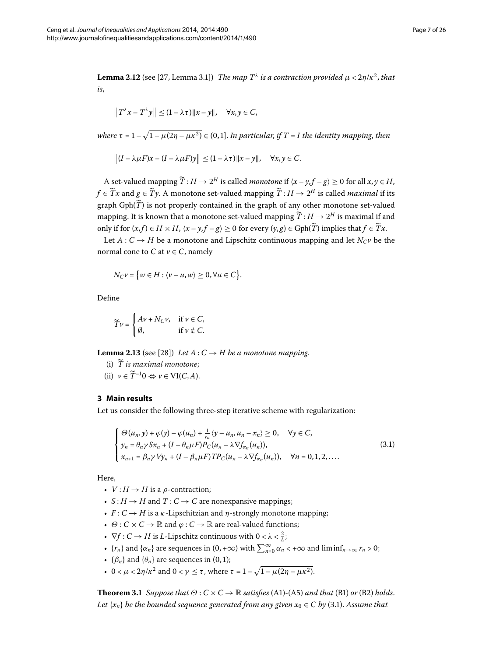<span id="page-6-1"></span>**Lemma 2.12** (see [\[](#page-25-18)27, Lemma 3.1]) *The map T<sup>λ</sup> is a contraction provided*  $\mu < 2\eta/\kappa^2$ , that *is*,

$$
\|T^{\lambda}x-T^{\lambda}y\|\leq (1-\lambda\tau)\|x-y\|, \quad \forall x,y\in C,
$$

*where*  $\tau = 1 - \sqrt{1 - \mu(2\eta - \mu \kappa^2)} \in (0, 1]$ . *In particular, if*  $T = I$  *the identity mapping, then* 

$$
|| (I - \lambda \mu F)x - (I - \lambda \mu F)y || \le (1 - \lambda \tau) ||x - y||, \quad \forall x, y \in C.
$$

A set-valued mapping  $\widetilde{T}: H \to 2^H$  is called *monotone* if  $\langle x - y, f - g \rangle \ge 0$  for all  $x, y \in H$ , *f* ∈  $\widetilde{T}x$  and  $g \in \widetilde{T}y$ . A monotone set-valued mapping  $\widetilde{T}: H \to 2^H$  is called *maximal* if its graph  $Gph(\widetilde{T})$  is not properly contained in the graph of any other monotone set-valued mapping. It is known that a monotone set-valued mapping  $\widetilde{T}: H \to 2^H$  is maximal if and only if for  $(x, f)$  ∈ *H* × *H*,  $\langle x - y, f - g \rangle$  ≥ 0 for every  $(y, g)$  ∈ Gph( $\widetilde{T}$ ) implies that  $f \in \widetilde{T}x$ .

Let  $A: C \rightarrow H$  be a monotone and Lipschitz continuous mapping and let  $N_C \nu$  be the normal cone to *C* at  $v \in C$ , namely

<span id="page-6-3"></span>
$$
N_C \nu = \{ w \in H : \langle \nu - u, w \rangle \ge 0, \forall u \in C \}.
$$

Define

<span id="page-6-0"></span>
$$
\widetilde{T}v = \begin{cases} Av + N_C v, & \text{if } v \in C, \\ \emptyset, & \text{if } v \notin C. \end{cases}
$$

**Lemma 2.13** (see [28[\]](#page-25-19)) *Let*  $A: C \rightarrow H$  *be a monotone mapping.* 

- (i)  $\widetilde{T}$  *is maximal monotone*;
- (ii)  $v \in \widetilde{T}^{-1}0 \Leftrightarrow v \in \text{VI}(C, A).$

#### **3 Main results**

Let us consider the following three-step iterative scheme with regularization:

$$
\begin{cases}\n\Theta(u_n, y) + \varphi(y) - \varphi(u_n) + \frac{1}{r_n} \langle y - u_n, u_n - x_n \rangle \ge 0, & \forall y \in C, \\
y_n = \theta_n \gamma S x_n + (I - \theta_n \mu F) P_C(u_n - \lambda \nabla f_{\alpha_n}(u_n)), \\
x_{n+1} = \beta_n \gamma V y_n + (I - \beta_n \mu F) T P_C(u_n - \lambda \nabla f_{\alpha_n}(u_n)), & \forall n = 0, 1, 2, ....\n\end{cases}
$$
\n(3.1)

Here,

- $V: H \rightarrow H$  is a  $\rho$ -contraction;
- $S: H \to H$  and  $T: C \to C$  are nonexpansive mappings;
- $F: C \rightarrow H$  is a *κ*-Lipschitzian and *η*-strongly monotone mapping;
- <span id="page-6-2"></span> $\cdot \ \Theta : C \times C \rightarrow \mathbb{R}$  and  $\varphi : C \rightarrow \mathbb{R}$  are real-valued functions;
- $\nabla f : C \to H$  is *L*-Lipschitz continuous with  $0 < \lambda < \frac{2}{L}$ ;
- $\{r_n\}$  and  $\{\alpha_n\}$  are sequences in  $(0, +\infty)$  with  $\sum_{n=0}^{\infty} \alpha_n < +\infty$  and  $\liminf_{n\to\infty} r_n > 0$ ;
- $\{\beta_n\}$  and  $\{\theta_n\}$  are sequences in (0,1);
- $0 < \mu < 2\eta/\kappa^2$  and  $0 < \gamma \le \tau$ , where  $\tau = 1 \sqrt{1 \mu(2\eta \mu\kappa^2)}$ .

**Theorem 3.1** *Suppose that*  $\Theta: C \times C \rightarrow \mathbb{R}$  *satisfies* (A1)-(A5) *and that* (B1) *or* (B2) *holds*. *Let*  $\{x_n\}$  *be the bounded sequence generated from any given*  $x_0 \in C$  *by* (3.1). Assume that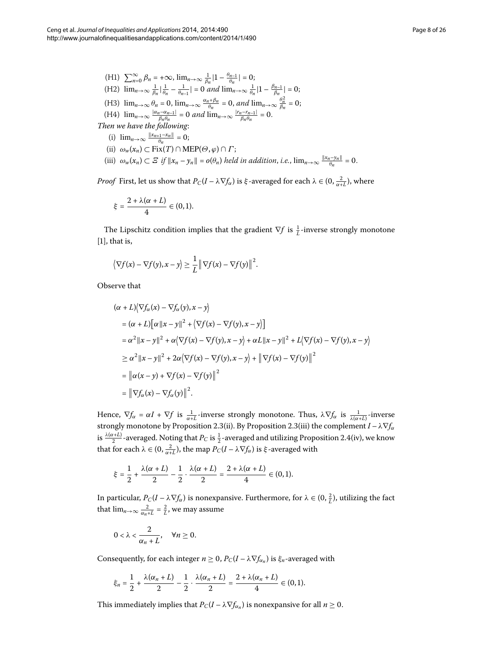(H1) 
$$
\sum_{n=0}^{\infty} \beta_n = +\infty, \lim_{n\to\infty} \frac{1}{\beta_n} |1 - \frac{\theta_{n-1}}{\theta_n}| = 0;
$$
  
\n(H2) 
$$
\lim_{n\to\infty} \frac{1}{\beta_n} |\frac{1}{\theta_n} - \frac{1}{\theta_{n-1}}| = 0 \text{ and } \lim_{n\to\infty} \frac{1}{\theta_n} |1 - \frac{\beta_{n-1}}{\beta_n}| = 0;
$$
  
\n(H3) 
$$
\lim_{n\to\infty} \theta_n = 0, \lim_{n\to\infty} \frac{\alpha_n + \beta_n}{\theta_n} = 0, \text{ and } \lim_{n\to\infty} \frac{\theta_n^2}{\beta_n} = 0;
$$
  
\n(H4) 
$$
\lim_{n\to\infty} \frac{|\alpha_n - \alpha_{n-1}|}{\beta_n \theta_n} = 0 \text{ and } \lim_{n\to\infty} \frac{|r_n - r_{n-1}|}{\beta_n \theta_n} = 0.
$$
  
\nThen we have the following:  
\n(i) 
$$
\lim_{n\to\infty} \frac{||x_{n+1} - x_n||}{\theta_n} = 0;
$$
  
\n(ii) 
$$
\omega_w(x_n) \subset \text{Fix}(T) \cap \text{MEP}(\Theta, \varphi) \cap \Gamma;
$$

 $(iii)$   $\omega_w(x_n) \subset E$  *if*  $||x_n - y_n|| = o(\theta_n)$  *held in addition, i.e.,*  $\lim_{n \to \infty} \frac{||x_n - y_n||}{\theta_n} = 0$ .

*Proof* First, let us show that  $P_C(I - \lambda \nabla f_\alpha)$  is *ξ*-averaged for each  $\lambda \in (0, \frac{2}{\alpha + L})$ , where

$$
\xi=\frac{2+\lambda(\alpha+L)}{4}\in(0,1).
$$

The Lipschitz condition implies that the gradient  $\nabla f$  is  $\frac{1}{L}$ -inverse strongly monotone  $[1]$  $[1]$ , that is,

$$
\left\langle \nabla f(x) - \nabla f(y), x - y \right\rangle \geq \frac{1}{L} \left\| \nabla f(x) - \nabla f(y) \right\|^2.
$$

Observe that

$$
(\alpha + L)\langle \nabla f_{\alpha}(x) - \nabla f_{\alpha}(y), x - y \rangle
$$
  
\n
$$
= (\alpha + L)[\alpha ||x - y||^2 + \langle \nabla f(x) - \nabla f(y), x - y \rangle]
$$
  
\n
$$
= \alpha^2 ||x - y||^2 + \alpha \langle \nabla f(x) - \nabla f(y), x - y \rangle + \alpha L ||x - y||^2 + L \langle \nabla f(x) - \nabla f(y), x - y \rangle
$$
  
\n
$$
\geq \alpha^2 ||x - y||^2 + 2\alpha \langle \nabla f(x) - \nabla f(y), x - y \rangle + ||\nabla f(x) - \nabla f(y)||^2
$$
  
\n
$$
= ||\alpha(x - y) + \nabla f(x) - \nabla f(y)||^2
$$
  
\n
$$
= ||\nabla f_{\alpha}(x) - \nabla f_{\alpha}(y)||^2.
$$

Hence,  $\nabla f_{\alpha} = \alpha I + \nabla f$  is  $\frac{1}{\alpha + L}$ -inverse strongly monotone. Thus,  $\lambda \nabla f_{\alpha}$  is  $\frac{1}{\lambda(\alpha + L)}$ -inverse strongly monotone by Proposition 2[.](#page-4-0)3(ii). By Proposition 2.3(iii) the complement  $I - \lambda \nabla f_\alpha$ is  $\frac{\lambda(\alpha+L)}{2}$ -averaged[.](#page-4-1) Noting that  $P_C$  is  $\frac{1}{2}$ -averaged and utilizing Proposition 2.4(iv), we know that for each  $\lambda \in (0, \frac{2}{\alpha + L})$ , the map  $P_C(I - \lambda \nabla f_\alpha)$  is  $\xi$ -averaged with

$$
\xi = \frac{1}{2} + \frac{\lambda(\alpha + L)}{2} - \frac{1}{2} \cdot \frac{\lambda(\alpha + L)}{2} = \frac{2 + \lambda(\alpha + L)}{4} \in (0, 1).
$$

In particular,  $P_C(I - \lambda \nabla f_\alpha)$  is nonexpansive. Furthermore, for  $\lambda \in (0, \frac{2}{L})$ , utilizing the fact that  $\lim_{n\to\infty} \frac{2}{\alpha_n+L} = \frac{2}{L}$ , we may assume

$$
0<\lambda<\frac{2}{\alpha_n+L},\quad \forall n\geq 0.
$$

Consequently, for each integer  $n \geq 0$ ,  $P_C(I - \lambda \nabla f_{\alpha_n})$  is  $\xi_n$ -averaged with

$$
\xi_n = \frac{1}{2} + \frac{\lambda(\alpha_n + L)}{2} - \frac{1}{2} \cdot \frac{\lambda(\alpha_n + L)}{2} = \frac{2 + \lambda(\alpha_n + L)}{4} \in (0, 1).
$$

This immediately implies that  $P_C(I - \lambda \nabla f_{\alpha_n})$  is nonexpansive for all  $n \ge 0$ .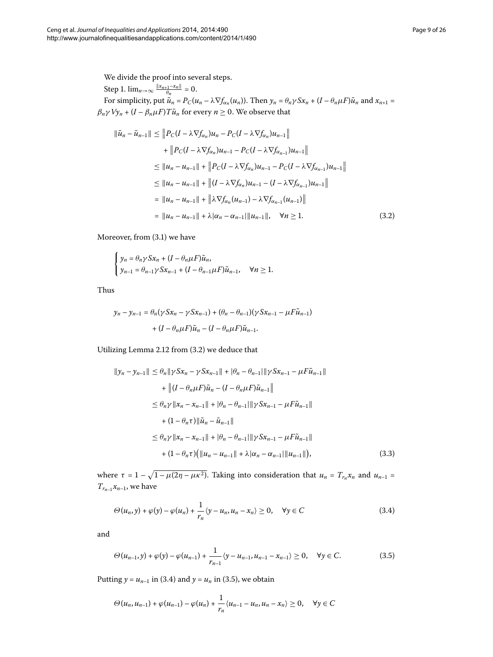We divide the proof into several steps.

<span id="page-8-0"></span>Step 1.  $\lim_{n\to\infty} \frac{\|x_{n+1}-x_n\|}{\theta_n} = 0.$ For simplicity, put  $\tilde{u}_n = P_C(u_n - \lambda \nabla f_{\alpha_n}(u_n))$ . Then  $y_n = \theta_n \gamma S x_n + (I - \theta_n \mu F) \tilde{u}_n$  and  $x_{n+1} =$  $\beta_n \gamma V y_n + (I - \beta_n \mu F) T \tilde{u}_n$  for every  $n \ge 0$ . We observe that

$$
\|\tilde{u}_{n} - \tilde{u}_{n-1}\| \leq \|P_C(I - \lambda \nabla f_{\alpha_n})u_n - P_C(I - \lambda \nabla f_{\alpha_n})u_{n-1}\| \n+ \|P_C(I - \lambda \nabla f_{\alpha_n})u_{n-1} - P_C(I - \lambda \nabla f_{\alpha_{n-1}})u_{n-1}\| \n\leq \|u_n - u_{n-1}\| + \|P_C(I - \lambda \nabla f_{\alpha_n})u_{n-1} - P_C(I - \lambda \nabla f_{\alpha_{n-1}})u_{n-1}\| \n\leq \|u_n - u_{n-1}\| + \|(I - \lambda \nabla f_{\alpha_n})u_{n-1} - (I - \lambda \nabla f_{\alpha_{n-1}})u_{n-1}\| \n= \|u_n - u_{n-1}\| + \|\lambda \nabla f_{\alpha_n}(u_{n-1}) - \lambda \nabla f_{\alpha_{n-1}}(u_{n-1})\| \n= \|u_n - u_{n-1}\| + \lambda |\alpha_n - \alpha_{n-1}|\|u_{n-1}\|, \quad \forall n \geq 1.
$$
\n(3.2)

Moreover, from  $(3.1)$  we have

$$
\begin{cases} \n y_n = \theta_n \gamma S x_n + (I - \theta_n \mu F) \tilde{u}_n, \\ \n y_{n-1} = \theta_{n-1} \gamma S x_{n-1} + (I - \theta_{n-1} \mu F) \tilde{u}_{n-1}, \quad \forall n \ge 1. \n\end{cases}
$$

<span id="page-8-3"></span>Thus

$$
y_n - y_{n-1} = \theta_n (\gamma S x_n - \gamma S x_{n-1}) + (\theta_n - \theta_{n-1}) (\gamma S x_{n-1} - \mu F \tilde{u}_{n-1})
$$

$$
+ (I - \theta_n \mu F) \tilde{u}_n - (I - \theta_n \mu F) \tilde{u}_{n-1}.
$$

Utilizing Lemma  $2.12$  $2.12$  $2.12$  from (3.2) we deduce that

<span id="page-8-1"></span>
$$
||y_n - y_{n-1}|| \leq \theta_n ||\gamma S x_n - \gamma S x_{n-1}|| + |\theta_n - \theta_{n-1}||\gamma S x_{n-1} - \mu F \tilde{u}_{n-1}||
$$
  
+ 
$$
|| (I - \theta_n \mu F) \tilde{u}_n - (I - \theta_n \mu F) \tilde{u}_{n-1}||
$$
  

$$
\leq \theta_n \gamma ||x_n - x_{n-1}|| + |\theta_n - \theta_{n-1}||\gamma S x_{n-1} - \mu F \tilde{u}_{n-1}||
$$
  
+ 
$$
(1 - \theta_n \tau) ||\tilde{u}_n - \tilde{u}_{n-1}||
$$
  

$$
\leq \theta_n \gamma ||x_n - x_{n-1}|| + |\theta_n - \theta_{n-1}||\gamma S x_{n-1} - \mu F \tilde{u}_{n-1}||
$$
  
+ 
$$
(1 - \theta_n \tau) (||u_n - u_{n-1}|| + \lambda |\alpha_n - \alpha_{n-1}||u_{n-1}||),
$$
 (3.3)

where  $\tau = 1 - \sqrt{1 - \mu(2\eta - \mu\kappa^2)}$ . Taking into consideration that  $u_n = T_{r_n}x_n$  and  $u_{n-1} =$  $T_{r_{n-1}}x_{n-1}$ , we have

<span id="page-8-2"></span>
$$
\Theta(u_n, y) + \varphi(y) - \varphi(u_n) + \frac{1}{r_n} \langle y - u_n, u_n - x_n \rangle \ge 0, \quad \forall y \in C
$$
\n(3.4)

and

$$
\Theta(u_{n-1}, y) + \varphi(y) - \varphi(u_{n-1}) + \frac{1}{r_{n-1}} \langle y - u_{n-1}, u_{n-1} - x_{n-1} \rangle \ge 0, \quad \forall y \in C.
$$
 (3.5)

Putting  $y = u_{n-1}$  in (3[.](#page-8-1)4) and  $y = u_n$  in (3.5), we obtain

$$
\Theta(u_n, u_{n-1}) + \varphi(u_{n-1}) - \varphi(u_n) + \frac{1}{r_n} \langle u_{n-1} - u_n, u_n - x_n \rangle \ge 0, \quad \forall y \in C
$$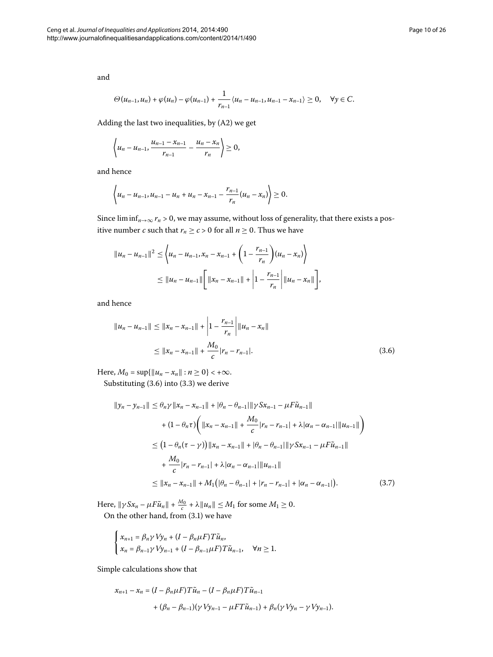and

$$
\Theta(u_{n-1},u_n)+\varphi(u_n)-\varphi(u_{n-1})+\frac{1}{r_{n-1}}\langle u_n-u_{n-1},u_{n-1}-x_{n-1}\rangle\geq 0, \quad \forall y\in C.
$$

Adding the last two inequalities, by  $(A2)$  we get

$$
\left\langle u_n - u_{n-1}, \frac{u_{n-1} - x_{n-1}}{r_{n-1}} - \frac{u_n - x_n}{r_n} \right\rangle \geq 0,
$$

and hence

$$
\left\langle u_n - u_{n-1}, u_{n-1} - u_n + u_n - x_{n-1} - \frac{r_{n-1}}{r_n} (u_n - x_n) \right\rangle \geq 0.
$$

<span id="page-9-0"></span>Since  $\liminf_{n\to\infty} r_n > 0$ , we may assume, without loss of generality, that there exists a positive number *c* such that  $r_n \ge c > 0$  for all  $n \ge 0$ . Thus we have

$$
||u_n - u_{n-1}||^2 \le \left\langle u_n - u_{n-1}, x_n - x_{n-1} + \left(1 - \frac{r_{n-1}}{r_n}\right) (u_n - x_n) \right\rangle
$$
  
 
$$
\le ||u_n - u_{n-1}|| \left[ ||x_n - x_{n-1}|| + \left|1 - \frac{r_{n-1}}{r_n}\right| ||u_n - x_n|| \right],
$$

<span id="page-9-1"></span>and hence

$$
||u_n - u_{n-1}|| \le ||x_n - x_{n-1}|| + \left|1 - \frac{r_{n-1}}{r_n}\right| ||u_n - x_n||
$$
  
\n
$$
\le ||x_n - x_{n-1}|| + \frac{M_0}{c}|r_n - r_{n-1}|.
$$
\n(3.6)

Here,  $M_0 = \sup\{\|u_n - x_n\| : n \ge 0\} < +\infty$ . Substituting  $(3.6)$  $(3.6)$  $(3.6)$  into  $(3.3)$  we derive

$$
||y_n - y_{n-1}|| \leq \theta_n \gamma ||x_n - x_{n-1}|| + |\theta_n - \theta_{n-1}|| \gamma S x_{n-1} - \mu F \tilde{u}_{n-1}||
$$
  
+ 
$$
(1 - \theta_n \tau) \left( ||x_n - x_{n-1}|| + \frac{M_0}{c} |r_n - r_{n-1}| + \lambda |\alpha_n - \alpha_{n-1}|| \|\mu_{n-1}|| \right)
$$
  

$$
\leq (1 - \theta_n (\tau - \gamma)) ||x_n - x_{n-1}|| + |\theta_n - \theta_{n-1}|| \gamma S x_{n-1} - \mu F \tilde{u}_{n-1}||
$$
  
+ 
$$
\frac{M_0}{c} |r_n - r_{n-1}| + \lambda |\alpha_n - \alpha_{n-1}|| \|\mu_{n-1}||
$$
  

$$
\leq ||x_n - x_{n-1}|| + M_1 (|\theta_n - \theta_{n-1}| + |r_n - r_{n-1}| + |\alpha_n - \alpha_{n-1}|).
$$
 (3.7)

Here,  $\|\gamma S x_n - \mu F \tilde{u}_n\| + \frac{M_0}{c} + \lambda \|u_n\| \le M_1$  for some  $M_1 \ge 0$ . On the other hand, from  $(3.1)$  $(3.1)$  $(3.1)$  we have

$$
\begin{cases} x_{n+1} = \beta_n \gamma \, V y_n + (I - \beta_n \mu F) T \tilde{u}_n, \\ x_n = \beta_{n-1} \gamma \, V y_{n-1} + (I - \beta_{n-1} \mu F) T \tilde{u}_{n-1}, \quad \forall n \ge 1. \end{cases}
$$

Simple calculations show that

$$
\begin{aligned} x_{n+1}-x_n&=(I-\beta_n\mu F)T\tilde{u}_n-(I-\beta_n\mu F)T\tilde{u}_{n-1}\\ &\quad+(\beta_n-\beta_{n-1})(\gamma\,Vy_{n-1}-\mu FT\tilde{u}_{n-1})+\beta_n(\gamma\,Vy_n-\gamma\,Vy_{n-1}). \end{aligned}
$$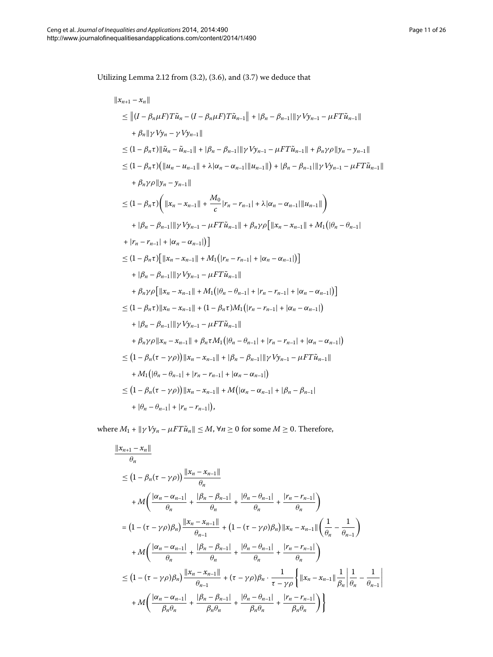Utilizing Lemma 2[.](#page-9-0)12 from  $(3.2)$ ,  $(3.6)$ , and  $(3.7)$  we deduce that

$$
||x_{n+1} - x_n||
$$
  
\n
$$
\leq ||(I - \beta_n \mu F) T \tilde{u}_n - (I - \beta_n \mu F) T \tilde{u}_{n-1}|| + |\beta_n - \beta_{n-1}|| \gamma V y_{n-1} - \mu F T \tilde{u}_{n-1}||
$$
  
\n
$$
+ \beta_n || \gamma V y_n - \gamma V y_{n-1}||
$$
  
\n
$$
\leq (1 - \beta_n \tau) ||\tilde{u}_n - \tilde{u}_{n-1}|| + |\beta_n - \beta_{n-1}|| \gamma V y_{n-1} - \mu F T \tilde{u}_{n-1}|| + \beta_n \gamma \rho ||y_n - y_{n-1}||
$$
  
\n
$$
\leq (1 - \beta_n \tau) (||u_n - u_{n-1}|| + \lambda |\alpha_n - \alpha_{n-1}|||u_{n-1}||) + |\beta_n - \beta_{n-1}|| \gamma V y_{n-1} - \mu F T \tilde{u}_{n-1}||
$$
  
\n
$$
+ \beta_n \gamma \rho ||y_n - y_{n-1}||
$$
  
\n
$$
\leq (1 - \beta_n \tau) (||x_n - x_{n-1}|| + \frac{M_0}{c} |r_n - r_{n-1}| + \lambda |\alpha_n - \alpha_{n-1}|||u_{n-1}||)
$$
  
\n
$$
+ |\beta_n - \beta_{n-1}|| \gamma V y_{n-1} - \mu F T \tilde{u}_{n-1}|| + \beta_n \gamma \rho [||x_n - x_{n-1}|| + M_1(|\theta_n - \theta_{n-1}|]
$$
  
\n
$$
+ |r_n - r_{n-1}| + |\alpha_n - \alpha_{n-1}|]
$$
  
\n
$$
\leq (1 - \beta_n \tau) [||x_n - x_{n-1}|| + M_1(|r_n - r_{n-1}| + |\alpha_n - \alpha_{n-1}|)]
$$
  
\n
$$
+ |\beta_n - \beta_{n-1}|| \gamma V y_{n-1} - \mu F T \tilde{u}_{n-1}||
$$
  
\n
$$
+ \beta_n \gamma \rho [||x_n - x_{n-1}|| + M_1(|\theta_n - \theta_{n-1}| + |r_n - r_{n-1}| + |\alpha_n - \alpha_{n-1}|)]
$$
  
\n<math display="</math>

where  $M_1 + ||\gamma V y_n - \mu FT \tilde{u}_n|| \leq M$ ,  $\forall n \geq 0$  for some  $M \geq 0$ . Therefore,

$$
\frac{\|x_{n+1} - x_n\|}{\theta_n} \n\leq (1 - \beta_n(\tau - \gamma \rho)) \frac{\|x_n - x_{n-1}\|}{\theta_n} \n+ M \left( \frac{|\alpha_n - \alpha_{n-1}|}{\theta_n} + \frac{|\beta_n - \beta_{n-1}|}{\theta_n} + \frac{|\theta_n - \theta_{n-1}|}{\theta_n} + \frac{|r_n - r_{n-1}|}{\theta_n} \right) \n= (1 - (\tau - \gamma \rho)\beta_n) \frac{\|x_n - x_{n-1}\|}{\theta_{n-1}} + (1 - (\tau - \gamma \rho)\beta_n) \|x_n - x_{n-1}\| \left( \frac{1}{\theta_n} - \frac{1}{\theta_{n-1}} \right) \n+ M \left( \frac{|\alpha_n - \alpha_{n-1}|}{\theta_n} + \frac{|\beta_n - \beta_{n-1}|}{\theta_n} + \frac{|\theta_n - \theta_{n-1}|}{\theta_n} + \frac{|r_n - r_{n-1}|}{\theta_n} \right) \n\leq (1 - (\tau - \gamma \rho)\beta_n) \frac{\|x_n - x_{n-1}\|}{\theta_{n-1}} + (\tau - \gamma \rho)\beta_n \cdot \frac{1}{\tau - \gamma \rho} \left\{ \|x_n - x_{n-1}\| \frac{1}{\beta_n} \left| \frac{1}{\theta_n} - \frac{1}{\theta_{n-1}} \right| \n+ M \left( \frac{|\alpha_n - \alpha_{n-1}|}{\beta_n \theta_n} + \frac{|\beta_n - \beta_{n-1}|}{\beta_n \theta_n} + \frac{|\theta_n - \theta_{n-1}|}{\beta_n \theta_n} + \frac{|r_n - r_{n-1}|}{\beta_n \theta_n} \right) \right\}
$$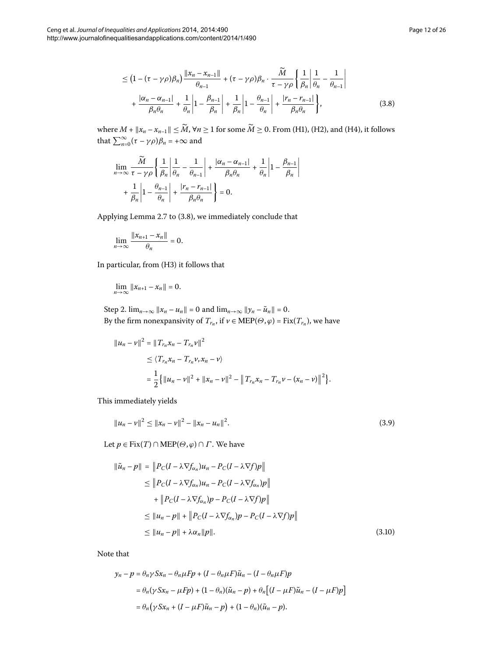<span id="page-11-0"></span>
$$
\leq \left(1 - (\tau - \gamma \rho)\beta_n\right) \frac{\|x_n - x_{n-1}\|}{\theta_{n-1}} + (\tau - \gamma \rho)\beta_n \cdot \frac{\widetilde{M}}{\tau - \gamma \rho} \left\{\frac{1}{\beta_n} \middle| \frac{1}{\theta_n} - \frac{1}{\theta_{n-1}} \right\} + \frac{|\alpha_n - \alpha_{n-1}|}{\beta_n \theta_n} + \frac{1}{\theta_n} \left|1 - \frac{\beta_{n-1}}{\beta_n} \middle| + \frac{1}{\beta_n} \middle| 1 - \frac{\theta_{n-1}}{\theta_n} \right| + \frac{|r_n - r_{n-1}|}{\beta_n \theta_n} \left\},
$$
\n(3.8)

where  $M + ||x_n - x_{n-1}|| \leq \widetilde{M}$ ,  $\forall n \geq 1$  for some  $\widetilde{M} \geq 0$ . From (H1), (H2), and (H4), it follows that  $\sum_{n=0}^{\infty} (\tau - \gamma \rho) \beta_n = +\infty$  and

$$
\lim_{n \to \infty} \frac{\widetilde{M}}{\tau - \gamma \rho} \left\{ \frac{1}{\beta_n} \left| \frac{1}{\theta_n} - \frac{1}{\theta_{n-1}} \right| + \frac{|\alpha_n - \alpha_{n-1}|}{\beta_n \theta_n} + \frac{1}{\theta_n} \left| 1 - \frac{\beta_{n-1}}{\beta_n} \right| + \frac{1}{\beta_n} \left| 1 - \frac{\theta_{n-1}}{\theta_n} \right| + \frac{|r_n - r_{n-1}|}{\beta_n \theta_n} \right\} = 0.
$$

Applying Lemma  $2.7$  $2.7$  $2.7$  to  $(3.8)$ , we immediately conclude that

$$
\lim_{n\to\infty}\frac{\|x_{n+1}-x_n\|}{\theta_n}=0.
$$

In particular, from (H3) it follows that

$$
\lim_{n\to\infty}||x_{n+1}-x_n||=0.
$$

Step 2.  $\lim_{n\to\infty} ||x_n - u_n|| = 0$  and  $\lim_{n\to\infty} ||y_n - \tilde{u}_n|| = 0$ . By the firm nonexpansivity of  $T_{r_n}$ , if  $v \in \text{MEP}(\Theta, \varphi) = \text{Fix}(T_{r_n})$ , we have

<span id="page-11-1"></span>
$$
||u_n - v||^2 = ||T_{r_n}x_n - T_{r_n}v||^2
$$
  
\n
$$
\leq \langle T_{r_n}x_n - T_{r_n}v, x_n - v \rangle
$$
  
\n
$$
= \frac{1}{2} \{ ||u_n - v||^2 + ||x_n - v||^2 - ||T_{r_n}x_n - T_{r_n}v - (x_n - v)||^2 \}.
$$

<span id="page-11-2"></span>This immediately yields

$$
||u_n - v||^2 \le ||x_n - v||^2 - ||x_n - u_n||^2.
$$
\n(3.9)

Let  $p \in Fix(T) \cap \text{MEP}(\Theta, \varphi) \cap \Gamma$ . We have

$$
\|\tilde{u}_n - p\| = \|P_C(I - \lambda \nabla f_{\alpha_n})u_n - P_C(I - \lambda \nabla f)p\|
$$
  
\n
$$
\leq \|P_C(I - \lambda \nabla f_{\alpha_n})u_n - P_C(I - \lambda \nabla f_{\alpha_n})p\|
$$
  
\n
$$
+ \|P_C(I - \lambda \nabla f_{\alpha_n})p - P_C(I - \lambda \nabla f)p\|
$$
  
\n
$$
\leq \|u_n - p\| + \|P_C(I - \lambda \nabla f_{\alpha_n})p - P_C(I - \lambda \nabla f)p\|
$$
  
\n
$$
\leq \|u_n - p\| + \lambda \alpha_n \|p\|.
$$
 (3.10)

Note that

$$
y_n - p = \theta_n \gamma S x_n - \theta_n \mu F p + (I - \theta_n \mu F) \tilde{u}_n - (I - \theta_n \mu F) p
$$
  
=  $\theta_n (\gamma S x_n - \mu F p) + (1 - \theta_n) (\tilde{u}_n - p) + \theta_n [(I - \mu F) \tilde{u}_n - (I - \mu F) p]$   
=  $\theta_n (\gamma S x_n + (I - \mu F) \tilde{u}_n - p) + (1 - \theta_n) (\tilde{u}_n - p).$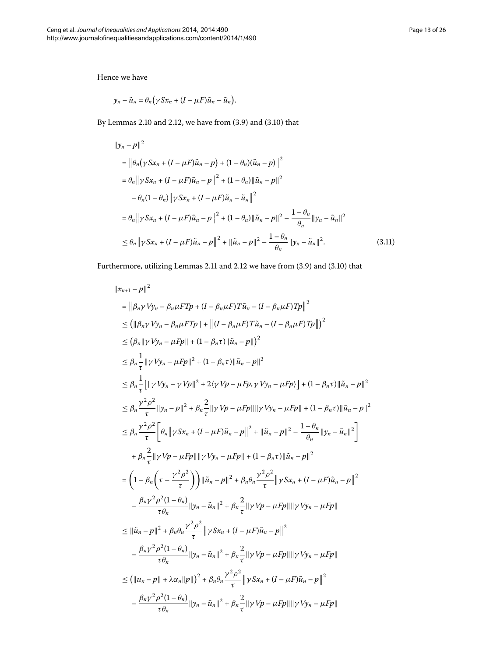Hence we have

$$
y_n - \tilde{u}_n = \theta_n \big(\gamma S x_n + (I - \mu F) \tilde{u}_n - \tilde{u}_n\big).
$$

By Lemmas 2[.](#page-11-2)10 and 2.12, we have from  $(3.9)$  and  $(3.10)$  that

$$
\|y_n - p\|^2
$$
  
\n
$$
= \|\theta_n (\gamma S x_n + (I - \mu F)\tilde{u}_n - p) + (1 - \theta_n)(\tilde{u}_n - p)\|^2
$$
  
\n
$$
= \theta_n \|\gamma S x_n + (I - \mu F)\tilde{u}_n - p\|^2 + (1 - \theta_n) \|\tilde{u}_n - p\|^2
$$
  
\n
$$
- \theta_n (1 - \theta_n) \|\gamma S x_n + (I - \mu F)\tilde{u}_n - \tilde{u}_n\|^2
$$
  
\n
$$
= \theta_n \|\gamma S x_n + (I - \mu F)\tilde{u}_n - p\|^2 + (1 - \theta_n) \|\tilde{u}_n - p\|^2 - \frac{1 - \theta_n}{\theta_n} \|y_n - \tilde{u}_n\|^2
$$
  
\n
$$
\leq \theta_n \|\gamma S x_n + (I - \mu F)\tilde{u}_n - p\|^2 + \|\tilde{u}_n - p\|^2 - \frac{1 - \theta_n}{\theta_n} \|y_n - \tilde{u}_n\|^2.
$$
 (3.11)

Furthermore, utilizing Lemmas 2[.](#page-11-2)11 and 2.12 we have from  $(3.9)$  and  $(3.10)$  that

$$
\|x_{n+1}-p\|^2
$$
\n
$$
= \left\|\beta_n \gamma V y_n - \beta_n \mu F T p + (I - \beta_n \mu F) T \tilde{u}_n - (I - \beta_n \mu F) T p \right\|^2
$$
\n
$$
\leq ( \| \beta_n \gamma V y_n - \beta_n \mu F T p \| + \| (I - \beta_n \mu F) T \tilde{u}_n - (I - \beta_n \mu F) T p \| )^2
$$
\n
$$
\leq (\beta_n \| \gamma V y_n - \mu F p \| + (1 - \beta_n \tau) \| \tilde{u}_n - p \| )^2
$$
\n
$$
\leq \beta_n \frac{1}{\tau} \| \gamma V y_n - \mu F p \| ^2 + (1 - \beta_n \tau) \| \tilde{u}_n - p \| ^2
$$
\n
$$
\leq \beta_n \frac{1}{\tau} [ \| \gamma V y_n - \gamma V p \| ^2 + 2 \langle \gamma V p - \mu F p, \gamma V y_n - \mu F p \rangle ] + (1 - \beta_n \tau) \| \tilde{u}_n - p \| ^2
$$
\n
$$
\leq \beta_n \frac{\gamma^2 \rho^2}{\tau} \| y_n - p \| ^2 + \beta_n \frac{2}{\tau} \| \gamma V p - \mu F p \| \| \gamma V y_n - \mu F p \| + (1 - \beta_n \tau) \| \tilde{u}_n - p \| ^2
$$
\n
$$
\leq \beta_n \frac{\gamma^2 \rho^2}{\tau} \Bigg[ \theta_n \| \gamma S x_n + (I - \mu F) \tilde{u}_n - p \| ^2 + \| \tilde{u}_n - p \| ^2 - \frac{1 - \theta_n}{\theta_n} \| y_n - \tilde{u}_n \| ^2 \Bigg]
$$
\n
$$
+ \beta_n \frac{2}{\tau} \| \gamma V p - \mu F p \| \| \gamma V y_n - \mu F p \| + (1 - \beta_n \tau) \| \tilde{u}_n - p \| ^2
$$
\n
$$
= \left( 1 - \beta_n \left( \tau - \frac{\gamma^2 \rho^2}{\tau} \right) \right) \| \tilde{u}_n - p \| ^2 + \beta_n \theta_n \frac{\gamma^2 \rho^2}{\tau} \| \gamma S x_n + (I - \mu F) \tilde{u}_n - p \| ^2
$$
\n
$$
- \frac{\beta_n \gamma^2 \rho^2 (1 - \theta_n)}{\tau \theta
$$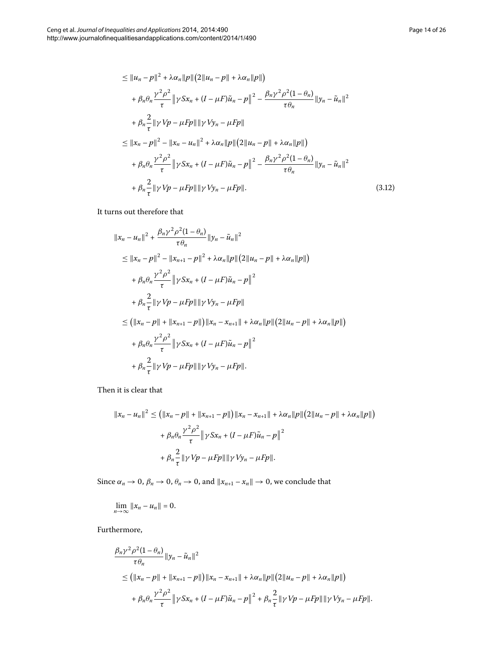<span id="page-13-0"></span>
$$
\leq ||u_n - p||^2 + \lambda \alpha_n ||p|| (2||u_n - p|| + \lambda \alpha_n ||p||)
$$
  
+  $\beta_n \theta_n \frac{\gamma^2 \rho^2}{\tau} ||\gamma S x_n + (I - \mu F) \tilde{u}_n - p||^2 - \frac{\beta_n \gamma^2 \rho^2 (1 - \theta_n)}{\tau \theta_n} ||y_n - \tilde{u}_n||^2$   
+  $\beta_n \frac{2}{\tau} ||\gamma V p - \mu F p|| ||\gamma V y_n - \mu F p||$   

$$
\leq ||x_n - p||^2 - ||x_n - u_n||^2 + \lambda \alpha_n ||p|| (2||u_n - p|| + \lambda \alpha_n ||p||)
$$
  
+  $\beta_n \theta_n \frac{\gamma^2 \rho^2}{\tau} ||\gamma S x_n + (I - \mu F) \tilde{u}_n - p||^2 - \frac{\beta_n \gamma^2 \rho^2 (1 - \theta_n)}{\tau \theta_n} ||y_n - \tilde{u}_n||^2$   
+  $\beta_n \frac{2}{\tau} ||\gamma V p - \mu F p|| ||\gamma V y_n - \mu F p||.$  (3.12)

It turns out therefore that

$$
||x_n - u_n||^2 + \frac{\beta_n \gamma^2 \rho^2 (1 - \theta_n)}{\tau \theta_n} ||y_n - \tilde{u}_n||^2
$$
  
\n
$$
\leq ||x_n - p||^2 - ||x_{n+1} - p||^2 + \lambda \alpha_n ||p|| (2||u_n - p|| + \lambda \alpha_n ||p||)
$$
  
\n
$$
+ \beta_n \theta_n \frac{\gamma^2 \rho^2}{\tau} ||\gamma Sx_n + (I - \mu F) \tilde{u}_n - p||^2
$$
  
\n
$$
+ \beta_n \frac{2}{\tau} ||\gamma Vp - \mu Fp|| ||\gamma Vy_n - \mu Fp||
$$
  
\n
$$
\leq (||x_n - p|| + ||x_{n+1} - p||) ||x_n - x_{n+1}|| + \lambda \alpha_n ||p|| (2||u_n - p|| + \lambda \alpha_n ||p||)
$$
  
\n
$$
+ \beta_n \theta_n \frac{\gamma^2 \rho^2}{\tau} ||\gamma Sx_n + (I - \mu F) \tilde{u}_n - p||^2
$$
  
\n
$$
+ \beta_n \frac{2}{\tau} ||\gamma Vp - \mu Fp|| ||\gamma Vy_n - \mu Fp||.
$$

Then it is clear that

$$
||x_n - u_n||^2 \le (||x_n - p|| + ||x_{n+1} - p||) ||x_n - x_{n+1}|| + \lambda \alpha_n ||p|| (2||u_n - p|| + \lambda \alpha_n ||p||)
$$
  
+  $\beta_n \theta_n \frac{\gamma^2 \rho^2}{\tau} ||\gamma S x_n + (I - \mu F) \tilde{u}_n - p||^2$   
+  $\beta_n \frac{2}{\tau} ||\gamma V p - \mu F p|| ||\gamma V y_n - \mu F p||.$ 

Since  $\alpha_n \to 0$ ,  $\beta_n \to 0$ ,  $\theta_n \to 0$ , and  $||x_{n+1} - x_n|| \to 0$ , we conclude that

$$
\lim_{n\to\infty}||x_n-u_n||=0.
$$

Furthermore,

$$
\frac{\beta_n \gamma^2 \rho^2 (1 - \theta_n)}{\tau \theta_n} \|y_n - \tilde{u}_n\|^2
$$
  
\n
$$
\leq (||x_n - p|| + ||x_{n+1} - p||) ||x_n - x_{n+1}|| + \lambda \alpha_n ||p|| (2||u_n - p|| + \lambda \alpha_n ||p||)
$$
  
\n
$$
+ \beta_n \theta_n \frac{\gamma^2 \rho^2}{\tau} ||\gamma S x_n + (I - \mu F) \tilde{u}_n - p||^2 + \beta_n \frac{2}{\tau} ||\gamma V p - \mu F p|| \|\gamma V y_n - \mu F p||.
$$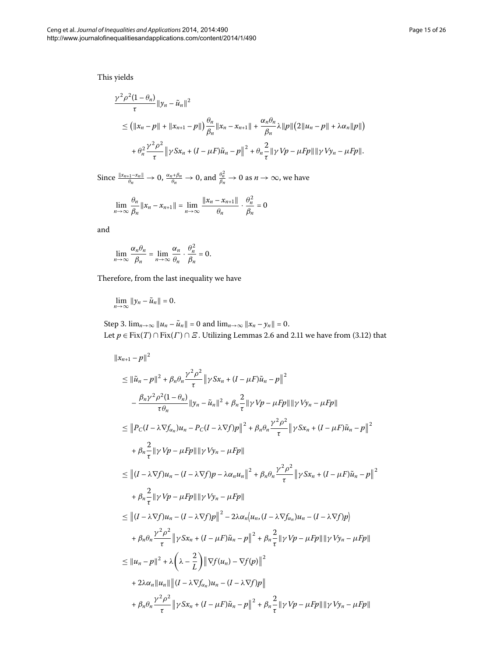This yields

$$
\frac{\gamma^2 \rho^2 (1 - \theta_n)}{\tau} \|y_n - \tilde{u}_n\|^2
$$
  
\n
$$
\leq (||x_n - p|| + ||x_{n+1} - p||) \frac{\theta_n}{\beta_n} ||x_n - x_{n+1}|| + \frac{\alpha_n \theta_n}{\beta_n} \lambda ||p|| (2||u_n - p|| + \lambda \alpha_n ||p||)
$$
  
\n
$$
+ \theta_n^2 \frac{\gamma^2 \rho^2}{\tau} ||\gamma S x_n + (I - \mu F) \tilde{u}_n - p||^2 + \theta_n \frac{2}{\tau} ||\gamma V p - \mu F p|| ||\gamma V y_n - \mu F p||.
$$

 $\frac{\|x_{n+1}-x_n\|}{\theta_n} \to 0$ ,  $\frac{\alpha_n+\beta_n}{\theta_n} \to 0$ , and  $\frac{\theta_n^2}{\beta_n} \to 0$  as  $n \to \infty$ , we have

$$
\lim_{n \to \infty} \frac{\theta_n}{\beta_n} \|x_n - x_{n+1}\| = \lim_{n \to \infty} \frac{\|x_n - x_{n+1}\|}{\theta_n} \cdot \frac{\theta_n^2}{\beta_n} = 0
$$

and

$$
\lim_{n\to\infty}\frac{\alpha_n\theta_n}{\beta_n}=\lim_{n\to\infty}\frac{\alpha_n}{\theta_n}\cdot\frac{\theta_n^2}{\beta_n}=0.
$$

Therefore, from the last inequality we have

$$
\lim_{n\to\infty}||y_n-\tilde{u}_n||=0.
$$

Step 3.  $\lim_{n \to \infty} ||u_n - \tilde{u}_n|| = 0$  and  $\lim_{n \to \infty} ||x_n - y_n|| = 0$ . Let  $p \in Fix(T) \cap Fix(\Gamma) \cap \varXi$ [.](#page-5-2) Utilizing Lemmas 2.6 and 2.11 we have from (3.12) that

$$
\|x_{n+1} - p\|^2
$$
  
\n
$$
\leq \|\tilde{u}_n - p\|^2 + \beta_n \theta_n \frac{\gamma^2 \rho^2}{\tau} \|\gamma Sx_n + (I - \mu F)\tilde{u}_n - p\|^2
$$
  
\n
$$
- \frac{\beta_n \gamma^2 \rho^2 (1 - \theta_n)}{\tau \theta_n} \|y_n - \tilde{u}_n\|^2 + \beta_n \frac{2}{\tau} \|\gamma Vp - \mu Fp\|\|\gamma Vy_n - \mu Fp\|
$$
  
\n
$$
\leq \|P_C(I - \lambda \nabla f_{\alpha_n})u_n - P_C(I - \lambda \nabla f)p\|^2 + \beta_n \theta_n \frac{\gamma^2 \rho^2}{\tau} \|\gamma Sx_n + (I - \mu F)\tilde{u}_n - p\|^2
$$
  
\n
$$
+ \beta_n \frac{2}{\tau} \|\gamma Vp - \mu Fp\|\|\gamma Vy_n - \mu Fp\|
$$
  
\n
$$
\leq \|(I - \lambda \nabla f)u_n - (I - \lambda \nabla f)p - \lambda \alpha_n u_n\|^2 + \beta_n \theta_n \frac{\gamma^2 \rho^2}{\tau} \|\gamma Sx_n + (I - \mu F)\tilde{u}_n - p\|^2
$$
  
\n
$$
+ \beta_n \frac{2}{\tau} \|\gamma Vp - \mu Fp\|\|\gamma Vy_n - \mu Fp\|
$$
  
\n
$$
\leq \|(I - \lambda \nabla f)u_n - (I - \lambda \nabla f)p\|^2 - 2\lambda \alpha_n \langle u_n, (I - \lambda \nabla f_{\alpha_n})u_n - (I - \lambda \nabla f)p\rangle
$$
  
\n
$$
+ \beta_n \theta_n \frac{\gamma^2 \rho^2}{\tau} \|\gamma Sx_n + (I - \mu F)\tilde{u}_n - p\|^2 + \beta_n \frac{2}{\tau} \|\gamma Vp - \mu Fp\|\|\gamma Vy_n - \mu Fp\|
$$
  
\n
$$
\leq \|u_n - p\|^2 + \lambda \left(\lambda - \frac{2}{L}\right) \|\nabla f(u_n) - \nabla f(p)\|^2
$$
  
\n
$$
+ 2\lambda \alpha_n \|u_n\| \|(I - \lambda \nabla f_{\alpha_n})u_n - (I - \lambda \nabla f)p\|
$$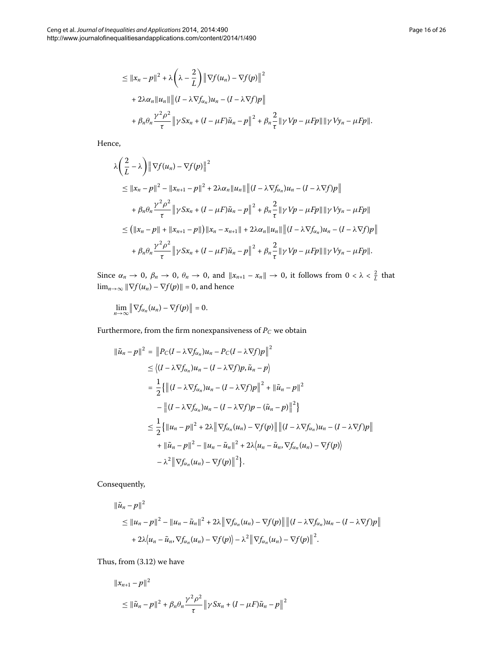$$
\leq ||x_n - p||^2 + \lambda \left(\lambda - \frac{2}{L}\right) ||\nabla f(u_n) - \nabla f(p)||^2
$$
  
+  $2\lambda \alpha_n ||u_n|| ||(I - \lambda \nabla f_{\alpha_n})u_n - (I - \lambda \nabla f)p||$   
+  $\beta_n \theta_n \frac{\gamma^2 \rho^2}{\tau} ||\gamma S x_n + (I - \mu F) \tilde{u}_n - p||^2 + \beta_n \frac{2}{\tau} ||\gamma V p - \mu F p|| ||\gamma V y_n - \mu F p||.$ 

Hence,

$$
\lambda \left( \frac{2}{L} - \lambda \right) \|\nabla f(u_n) - \nabla f(p)\|^2
$$
\n
$$
\leq \|x_n - p\|^2 - \|x_{n+1} - p\|^2 + 2\lambda \alpha_n \|u_n\| \|(I - \lambda \nabla f_{\alpha_n}) u_n - (I - \lambda \nabla f)p\|
$$
\n
$$
+ \beta_n \theta_n \frac{\gamma^2 \rho^2}{\tau} \|\gamma S x_n + (I - \mu F) \tilde{u}_n - p\|^2 + \beta_n \frac{2}{\tau} \|\gamma V p - \mu Fp\| \|\gamma V y_n - \mu Fp\|
$$
\n
$$
\leq \left( \|x_n - p\| + \|x_{n+1} - p\| \right) \|x_n - x_{n+1}\| + 2\lambda \alpha_n \|u_n\| \|(I - \lambda \nabla f_{\alpha_n}) u_n - (I - \lambda \nabla f)p\|
$$
\n
$$
+ \beta_n \theta_n \frac{\gamma^2 \rho^2}{\tau} \|\gamma S x_n + (I - \mu F) \tilde{u}_n - p\|^2 + \beta_n \frac{2}{\tau} \|\gamma V p - \mu Fp\| \|\gamma V y_n - \mu Fp\|.
$$

Since  $\alpha_n \to 0$ ,  $\beta_n \to 0$ ,  $\theta_n \to 0$ , and  $||x_{n+1} - x_n|| \to 0$ , it follows from  $0 < \lambda < \frac{2}{L}$  that  $\lim_{n\to\infty} \|\nabla f(u_n) - \nabla f(p)\| = 0$ , and hence

lim *n*→∞  $\left\| \nabla f_{\alpha_n}(u_n) - \nabla f(p) \right\| = 0.$ 

Furthermore, from the firm nonexpansiveness of  $\mathcal{P}_C$  we obtain

$$
\|\tilde{u}_n - p\|^2 = \|P_C(I - \lambda \nabla f_{\alpha_n})u_n - P_C(I - \lambda \nabla f)p\|^2
$$
  
\n
$$
\leq \langle (I - \lambda \nabla f_{\alpha_n})u_n - (I - \lambda \nabla f)p, \tilde{u}_n - p \rangle
$$
  
\n
$$
= \frac{1}{2} \{ \left\| (I - \lambda \nabla f_{\alpha_n})u_n - (I - \lambda \nabla f)p \right\|^2 + \|\tilde{u}_n - p\|^2
$$
  
\n
$$
- \left\| (I - \lambda \nabla f_{\alpha_n})u_n - (I - \lambda \nabla f)p - (\tilde{u}_n - p) \right\|^2 \}
$$
  
\n
$$
\leq \frac{1}{2} \{ \left\| u_n - p \right\|^2 + 2\lambda \left\| \nabla f_{\alpha_n}(u_n) - \nabla f(p) \right\| \left\| (I - \lambda \nabla f_{\alpha_n})u_n - (I - \lambda \nabla f)p \right\|
$$
  
\n
$$
+ \left\| \tilde{u}_n - p \right\|^2 - \left\| u_n - \tilde{u}_n \right\|^2 + 2\lambda \langle u_n - \tilde{u}_n, \nabla f_{\alpha_n}(u_n) - \nabla f(p) \rangle
$$
  
\n
$$
- \lambda^2 \left\| \nabla f_{\alpha_n}(u_n) - \nabla f(p) \right\|^2 \}.
$$

Consequently,

$$
\|\tilde{u}_n - p\|^2
$$
  
\n
$$
\leq \|u_n - p\|^2 - \|u_n - \tilde{u}_n\|^2 + 2\lambda \|\nabla f_{\alpha_n}(u_n) - \nabla f(p)\| \| (I - \lambda \nabla f_{\alpha_n}) u_n - (I - \lambda \nabla f)p \|
$$
  
\n
$$
+ 2\lambda \langle u_n - \tilde{u}_n, \nabla f_{\alpha_n}(u_n) - \nabla f(p) \rangle - \lambda^2 \|\nabla f_{\alpha_n}(u_n) - \nabla f(p) \|^2.
$$

Thus, from  $(3.12)$  $(3.12)$  $(3.12)$  we have

$$
||x_{n+1} - p||^2
$$
  
\n
$$
\leq ||\tilde{u}_n - p||^2 + \beta_n \theta_n \frac{\gamma^2 \rho^2}{\tau} ||\gamma S x_n + (I - \mu I)\tilde{u}_n - p||^2
$$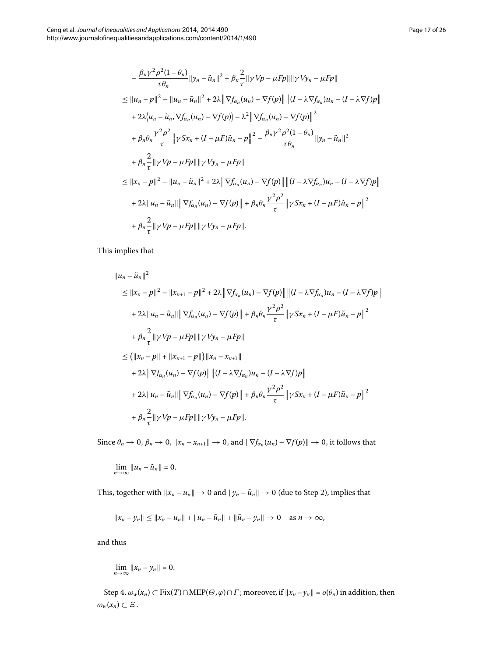$$
-\frac{\beta_n \gamma^2 \rho^2 (1-\theta_n)}{\tau \theta_n} \|y_n - \tilde{u}_n\|^2 + \beta_n \frac{2}{\tau} \| \gamma V p - \mu F p \| \| \gamma V y_n - \mu F p \|
$$
  
\n
$$
\leq \|u_n - p\|^2 - \|u_n - \tilde{u}_n\|^2 + 2\lambda \| \nabla f_{\alpha_n}(u_n) - \nabla f(p) \| \| (I - \lambda \nabla f_{\alpha_n}) u_n - (I - \lambda \nabla f) p \|
$$
  
\n
$$
+ 2\lambda \langle u_n - \tilde{u}_n, \nabla f_{\alpha_n}(u_n) - \nabla f(p) \rangle - \lambda^2 \| \nabla f_{\alpha_n}(u_n) - \nabla f(p) \|^2
$$
  
\n
$$
+ \beta_n \theta_n \frac{\gamma^2 \rho^2}{\tau} \| \gamma S x_n + (I - \mu F) \tilde{u}_n - p \|^2 - \frac{\beta_n \gamma^2 \rho^2 (1 - \theta_n)}{\tau \theta_n} \|y_n - \tilde{u}_n\|^2
$$
  
\n
$$
+ \beta_n \frac{2}{\tau} \| \gamma V p - \mu F p \| \| \gamma V y_n - \mu F p \|
$$
  
\n
$$
\leq \|x_n - p\|^2 - \|u_n - \tilde{u}_n\|^2 + 2\lambda \| \nabla f_{\alpha_n}(u_n) - \nabla f(p) \| \| (I - \lambda \nabla f_{\alpha_n}) u_n - (I - \lambda \nabla f) p \|
$$
  
\n
$$
+ 2\lambda \|u_n - \tilde{u}_n\| \| \nabla f_{\alpha_n}(u_n) - \nabla f(p) \| + \beta_n \theta_n \frac{\gamma^2 \rho^2}{\tau} \| \gamma S x_n + (I - \mu F) \tilde{u}_n - p \|^2
$$
  
\n
$$
+ \beta_n \frac{2}{\tau} \| \gamma V p - \mu F p \| \| \gamma V y_n - \mu F p \|.
$$

 $\frac{1}{\tau}$ ||γ*Vp* – *μFp*||||γ*Vy<sub>n</sub>* – *μFp*||.

This implies that

$$
||u_n - \tilde{u}_n||^2
$$
  
\n
$$
\leq ||x_n - p||^2 - ||x_{n+1} - p||^2 + 2\lambda ||\nabla f_{\alpha_n}(u_n) - \nabla f(p)|| ||(I - \lambda \nabla f_{\alpha_n})u_n - (I - \lambda \nabla f)p||
$$
  
\n
$$
+ 2\lambda ||u_n - \tilde{u}_n|| ||\nabla f_{\alpha_n}(u_n) - \nabla f(p)|| + \beta_n \theta_n \frac{\gamma^2 \rho^2}{\tau} ||\gamma Sx_n + (I - \mu F)\tilde{u}_n - p||^2
$$
  
\n
$$
+ \beta_n \frac{2}{\tau} ||\gamma Vp - \mu Fp|| ||\gamma Vy_n - \mu Fp||
$$
  
\n
$$
\leq (||x_n - p|| + ||x_{n+1} - p||) ||x_n - x_{n+1}||
$$
  
\n
$$
+ 2\lambda ||\nabla f_{\alpha_n}(u_n) - \nabla f(p)|| ||(I - \lambda \nabla f_{\alpha_n})u_n - (I - \lambda \nabla f)p||
$$
  
\n
$$
+ 2\lambda ||u_n - \tilde{u}_n|| ||\nabla f_{\alpha_n}(u_n) - \nabla f(p)|| + \beta_n \theta_n \frac{\gamma^2 \rho^2}{\tau} ||\gamma Sx_n + (I - \mu F)\tilde{u}_n - p||^2
$$
  
\n
$$
+ \beta_n \frac{2}{\tau} ||\gamma Vp - \mu Fp|| ||\gamma Vy_n - \mu Fp||.
$$

Since  $\theta_n \to 0$ ,  $\beta_n \to 0$ ,  $\|x_n - x_{n+1}\| \to 0$ , and  $\|\nabla f_{\alpha_n}(u_n) - \nabla f(p)\| \to 0$ , it follows that

$$
\lim_{n\to\infty}||u_n-\tilde{u}_n||=0.
$$

This, together with  $||x_n - u_n|| \to 0$  and  $||y_n - \tilde{u}_n|| \to 0$  (due to Step 2), implies that

$$
||x_n - y_n|| \le ||x_n - u_n|| + ||u_n - \tilde{u}_n|| + ||\tilde{u}_n - y_n|| \to 0 \text{ as } n \to \infty,
$$

and thus

$$
\lim_{n\to\infty}||x_n-y_n||=0.
$$

Step 4.  $\omega_w(x_n) \subset \text{Fix}(T) \cap \text{MEP}(\Theta, \varphi) \cap \Gamma$ ; moreover, if  $||x_n - y_n|| = o(\theta_n)$  in addition, then  $\omega_w(x_n) \subset \varXi$ .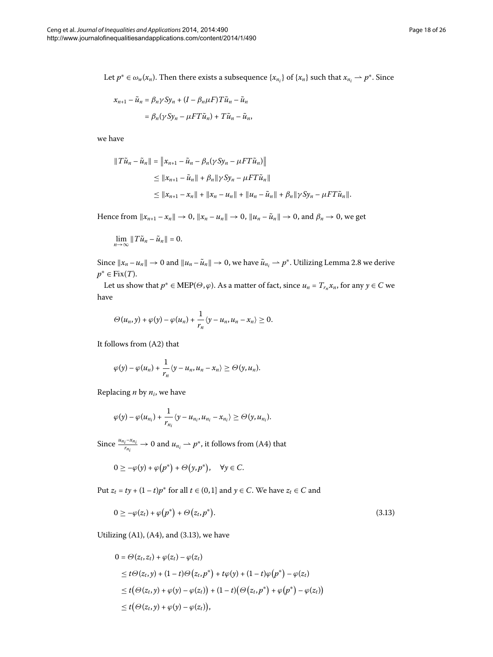Let  $p^* \in \omega_w(x_n)$ . Then there exists a subsequence  $\{x_{n_i}\}$  of  $\{x_n\}$  such that  $x_{n_i} \to p^*$ . Since

$$
x_{n+1} - \tilde{u}_n = \beta_n \gamma S y_n + (I - \beta_n \mu F) T \tilde{u}_n - \tilde{u}_n
$$
  
=  $\beta_n (\gamma S y_n - \mu F T \tilde{u}_n) + T \tilde{u}_n - \tilde{u}_n$ ,

we have

$$
\begin{aligned} ||\,T\tilde{u}_n - \tilde{u}_n|| &= \left\|x_{n+1} - \tilde{u}_n - \beta_n(\gamma S y_n - \mu FT\tilde{u}_n)\right\| \\ &\le \|x_{n+1} - \tilde{u}_n\| + \beta_n \|\gamma S y_n - \mu FT\tilde{u}_n\| \\ &\le \|x_{n+1} - x_n\| + \|x_n - u_n\| + \|u_n - \tilde{u}_n\| + \beta_n \|\gamma S y_n - \mu FT\tilde{u}_n\|. \end{aligned}
$$

Hence from  $||x_{n+1} - x_n|| \to 0$ ,  $||x_n - u_n|| \to 0$ ,  $||u_n - \tilde{u}_n|| \to 0$ , and  $\beta_n \to 0$ , we get

$$
\lim_{n\to\infty}||T\tilde{u}_n-\tilde{u}_n||=0.
$$

Since  $||x_n - u_n|| \to 0$  and  $||u_n - \tilde{u}_n|| \to 0$ , we have  $\tilde{u}_{n_i} \to p^*$ [.](#page-5-4) Utilizing Lemma 2.8 we derive *p*<sup>∗</sup> ∈ Fix(*T*).

Let us show that  $p^* \in \text{MEP}(\Theta, \varphi)$ . As a matter of fact, since  $u_n = T_{r_n} x_n$ , for any  $y \in C$  we have

$$
\Theta(u_n,y)+\varphi(y)-\varphi(u_n)+\frac{1}{r_n}\langle y-u_n,u_n-x_n\rangle\geq 0.
$$

It follows from (A2) that

$$
\varphi(y) - \varphi(u_n) + \frac{1}{r_n} \langle y - u_n, u_n - x_n \rangle \ge \Theta(y, u_n).
$$

Replacing *n* by *ni*, we have

$$
\varphi(y)-\varphi(u_{n_i})+\frac{1}{r_{n_i}}\langle y-u_{n_i},u_{n_i}-x_{n_i}\rangle\geq \Theta(y,u_{n_i}).
$$

Since  $\frac{u_{n_i} - x_{n_i}}{r_u}$  $\frac{i^{-\lambda n_i}}{r_{n_i}}$   $\rightarrow$  0 and  $u_{n_i}$   $\rightarrow$   $p^*$ , it follows from (A4) that

<span id="page-17-0"></span>
$$
0 \geq -\varphi(y) + \varphi(p^*) + \Theta(y, p^*), \quad \forall y \in C.
$$

Put  $z_t = ty + (1 - t)p^*$  for all  $t \in (0, 1]$  and  $y \in C$ . We have  $z_t \in C$  and

$$
0 \geq -\varphi(z_t) + \varphi(p^*) + \Theta(z_t, p^*). \tag{3.13}
$$

Utilizing (A1), (A4), and (3[.](#page-17-0)13), we have

$$
0 = \Theta(z_t, z_t) + \varphi(z_t) - \varphi(z_t)
$$
  
\n
$$
\leq t\Theta(z_t, y) + (1 - t)\Theta(z_t, p^*) + t\varphi(y) + (1 - t)\varphi(p^*) - \varphi(z_t)
$$
  
\n
$$
\leq t(\Theta(z_t, y) + \varphi(y) - \varphi(z_t)) + (1 - t)(\Theta(z_t, p^*) + \varphi(p^*) - \varphi(z_t))
$$
  
\n
$$
\leq t(\Theta(z_t, y) + \varphi(y) - \varphi(z_t)),
$$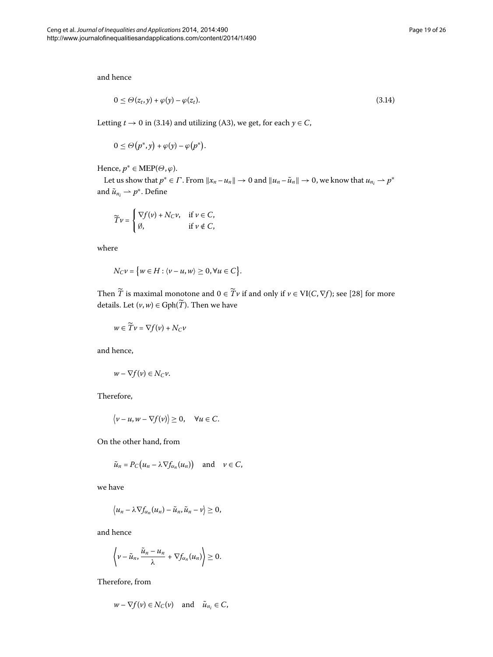and hence

<span id="page-18-0"></span>
$$
0 \leq \Theta(z_t, y) + \varphi(y) - \varphi(z_t). \tag{3.14}
$$

Letting  $t \to 0$  in (3[.](#page-18-0)14) and utilizing (A3), we get, for each  $y \in C$ ,

$$
0 \leq \Theta(p^*, y) + \varphi(y) - \varphi(p^*).
$$

Hence,  $p^* \in \text{MEP}(\Theta, \varphi)$ .

Let us show that  $p^* \in \Gamma$ . From  $||x_n - u_n|| \to 0$  and  $||u_n - \tilde{u}_n|| \to 0$ , we know that  $u_{n_i} \to p^*$ and  $\tilde{u}_{n_i} \rightharpoonup p^*$ . Define

$$
\widetilde{T}\nu = \begin{cases} \nabla f(\nu) + N_C \nu, & \text{if } \nu \in C, \\ \emptyset, & \text{if } \nu \notin C, \end{cases}
$$

where

$$
N_C \nu = \big\{ w \in H : \langle \nu - u, w \rangle \geq 0, \forall u \in C \big\}.
$$

Then  $\widetilde{T}$  is maximal monotone and  $0 \in \widetilde{T}v$  if and only if  $v \in VI(C, \nabla f)$ ; see [\[](#page-25-19)28] for more details. Let  $(v, w) \in \text{Gph}(\widetilde{T})$ . Then we have

$$
w \in \widetilde{T}v = \nabla f(v) + N_C v
$$

and hence,

$$
w - \nabla f(v) \in N_C v.
$$

Therefore,

$$
\langle v-u, w-\nabla f(v)\rangle\geq 0, \quad \forall u\in C.
$$

On the other hand, from

$$
\tilde{u}_n = P_C(u_n - \lambda \nabla f_{\alpha_n}(u_n))
$$
 and  $\nu \in C$ ,

we have

$$
\langle u_n - \lambda \nabla f_{\alpha_n}(u_n) - \tilde{u}_n, \tilde{u}_n - v \rangle \geq 0,
$$

and hence

$$
\left\langle v-\tilde{u}_n,\frac{\tilde{u}_n-u_n}{\lambda}+\nabla f_{\alpha_n}(u_n)\right\rangle\geq 0.
$$

Therefore, from

$$
w - \nabla f(v) \in N_C(v) \quad \text{and} \quad \tilde{u}_{n_i} \in C,
$$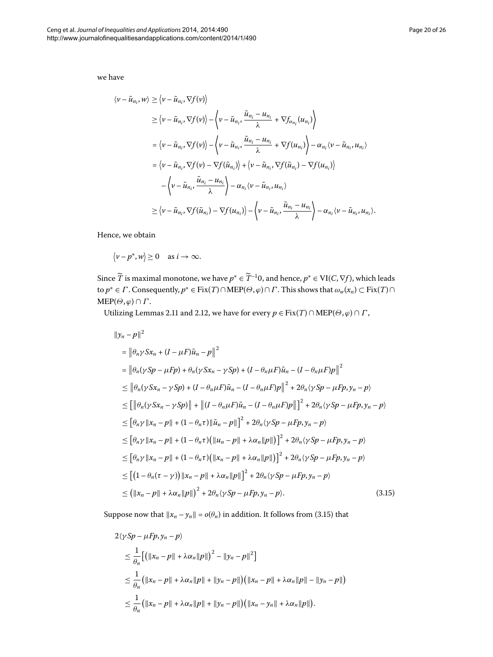we have

$$
\langle \nu - \tilde{u}_{n_i}, w \rangle \geq \langle \nu - \tilde{u}_{n_i}, \nabla f(\nu) \rangle
$$
  
\n
$$
\geq \langle \nu - \tilde{u}_{n_i}, \nabla f(\nu) \rangle - \langle \nu - \tilde{u}_{n_i}, \frac{\tilde{u}_{n_i} - u_{n_i}}{\lambda} + \nabla f_{\alpha_{n_i}}(u_{n_i}) \rangle
$$
  
\n
$$
= \langle \nu - \tilde{u}_{n_i}, \nabla f(\nu) \rangle - \langle \nu - \tilde{u}_{n_i}, \frac{\tilde{u}_{n_i} - u_{n_i}}{\lambda} + \nabla f(u_{n_i}) \rangle - \alpha_{n_i} \langle \nu - \tilde{u}_{n_i}, u_{n_i} \rangle
$$
  
\n
$$
= \langle \nu - \tilde{u}_{n_i}, \nabla f(\nu) - \nabla f(\tilde{u}_{n_i}) \rangle + \langle \nu - \tilde{u}_{n_i}, \nabla f(\tilde{u}_{n_i}) - \nabla f(u_{n_i}) \rangle
$$
  
\n
$$
- \langle \nu - \tilde{u}_{n_i}, \frac{\tilde{u}_{n_i} - u_{n_i}}{\lambda} \rangle - \alpha_{n_i} \langle \nu - \tilde{u}_{n_i}, u_{n_i} \rangle
$$
  
\n
$$
\geq \langle \nu - \tilde{u}_{n_i}, \nabla f(\tilde{u}_{n_i}) - \nabla f(u_{n_i}) \rangle - \langle \nu - \tilde{u}_{n_i}, \frac{\tilde{u}_{n_i} - u_{n_i}}{\lambda} \rangle - \alpha_{n_i} \langle \nu - \tilde{u}_{n_i}, u_{n_i} \rangle.
$$

Hence, we obtain

$$
\langle v-p^*,w\rangle\geq 0 \quad \text{as } i\to\infty.
$$

Since  $\widetilde{T}$  is maximal monotone, we have  $p^* \in \widetilde{T}^{-1}0$ , and hence,  $p^* \in \mathrm{VI}(C,\nabla f)$ , which leads to  $p^* \in \Gamma$ . Consequently,  $p^* \in Fix(T) \cap MEP(\Theta, \varphi) \cap \Gamma$ . This shows that  $\omega_w(x_n) \subset Fix(T) \cap \Gamma$  $MEP(\Theta, \varphi) \cap \Gamma$ .

Utilizing Lemmas 2[.](#page-5-2)11 and 2.12, we have for every  $p \in Fix(T) \cap MEP(\Theta, \varphi) \cap \Gamma$ ,

<span id="page-19-0"></span>
$$
||y_n - p||^2
$$
  
\n= $||\theta_n \gamma Sx_n + (I - \mu F)\tilde{u}_n - p||^2$   
\n= $||\theta_n (\gamma Sp - \mu Fp) + \theta_n (\gamma Sx_n - \gamma Sp) + (I - \theta_n \mu F)\tilde{u}_n - (I - \theta_n \mu F)p||^2$   
\n $\leq ||\theta_n (\gamma Sx_n - \gamma Sp) + (I - \theta_n \mu F)\tilde{u}_n - (I - \theta_n \mu F)p||^2 + 2\theta_n (\gamma Sp - \mu Fp, y_n - p)$   
\n $\leq [||\theta_n (\gamma Sx_n - \gamma Sp)|| + ||(I - \theta_n \mu F)\tilde{u}_n - (I - \theta_n \mu F)p||]^2 + 2\theta_n (\gamma Sp - \mu Fp, y_n - p)$   
\n $\leq [\theta_n \gamma ||x_n - p|| + (1 - \theta_n \tau) ||\tilde{u}_n - p||]^2 + 2\theta_n (\gamma Sp - \mu Fp, y_n - p)$   
\n $\leq [\theta_n \gamma ||x_n - p|| + (1 - \theta_n \tau) (||u_n - p|| + \lambda \alpha_n ||p||)]^2 + 2\theta_n (\gamma Sp - \mu Fp, y_n - p)$   
\n $\leq [\theta_n \gamma ||x_n - p|| + (1 - \theta_n \tau) (||x_n - p|| + \lambda \alpha_n ||p||)]^2 + 2\theta_n (\gamma Sp - \mu Fp, y_n - p)$   
\n $\leq [(1 - \theta_n (\tau - \gamma)) ||x_n - p|| + \lambda \alpha_n ||p||]^2 + 2\theta_n (\gamma Sp - \mu Fp, y_n - p)$   
\n $\leq (||x_n - p|| + \lambda \alpha_n ||p||)^2 + 2\theta_n (\gamma Sp - \mu Fp, y_n - p).$  (3.15)

Suppose now that  $||x_n - y_n|| = o(\theta_n)$  in addition. It follows from (3.15) that

$$
\begin{split} &2\langle ySp - \mu Fp, y_n - p\rangle \\ &\leq \frac{1}{\theta_n} \Big[ \big( \|x_n - p\| + \lambda \alpha_n \|p\| \big)^2 - \|y_n - p\|^2 \Big] \\ &\leq \frac{1}{\theta_n} \big( \|x_n - p\| + \lambda \alpha_n \|p\| + \|y_n - p\| \big) \big( \|x_n - p\| + \lambda \alpha_n \|p\| - \|y_n - p\| \big) \\ &\leq \frac{1}{\theta_n} \big( \|x_n - p\| + \lambda \alpha_n \|p\| + \|y_n - p\| \big) \big( \|x_n - y_n\| + \lambda \alpha_n \|p\| \big). \end{split}
$$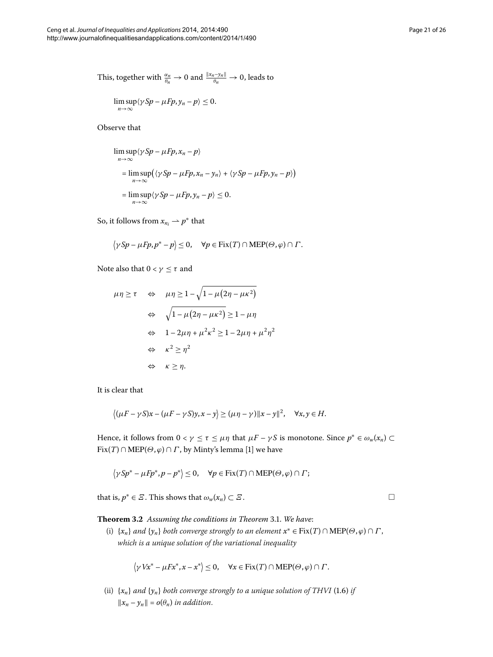This, together with 
$$
\frac{\alpha_n}{\theta_n} \to 0
$$
 and  $\frac{\|x_n - y_n\|}{\theta_n} \to 0$ , leads to

$$
\limsup_{n\to\infty}\langle \gamma Sp-\mu Fp, y_n-p\rangle\leq 0.
$$

Observe that

$$
\limsup_{n \to \infty} \langle \gamma Sp - \mu Fp, x_n - p \rangle
$$
  
= 
$$
\limsup_{n \to \infty} (\langle \gamma Sp - \mu Fp, x_n - y_n \rangle + \langle \gamma Sp - \mu Fp, y_n - p \rangle)
$$
  
= 
$$
\limsup_{n \to \infty} \langle \gamma Sp - \mu Fp, y_n - p \rangle \le 0.
$$

So, it follows from  $x_{n_i} \rightarrow p^*$  that

$$
\langle \gamma Sp - \mu Fp, p^* - p \rangle \leq 0, \quad \forall p \in \text{Fix}(T) \cap \text{MEP}(\Theta, \varphi) \cap \Gamma.
$$

Note also that  $0 < \gamma \leq \tau$  and

$$
\mu \eta \ge \tau \quad \Leftrightarrow \quad \mu \eta \ge 1 - \sqrt{1 - \mu (2\eta - \mu \kappa^2)}
$$
  

$$
\quad \Leftrightarrow \quad \sqrt{1 - \mu (2\eta - \mu \kappa^2)} \ge 1 - \mu \eta
$$
  

$$
\quad \Leftrightarrow \quad 1 - 2\mu \eta + \mu^2 \kappa^2 \ge 1 - 2\mu \eta + \mu^2 \eta^2
$$
  

$$
\quad \Leftrightarrow \quad \kappa^2 \ge \eta^2
$$
  

$$
\quad \Leftrightarrow \quad \kappa \ge \eta.
$$

It is clear that

$$
\langle (\mu F - \gamma S)x - (\mu F - \gamma S)y, x - y \rangle \ge (\mu \eta - \gamma) \|x - y\|^2, \quad \forall x, y \in H.
$$

<span id="page-20-0"></span>Hence, it follows from  $0 < \gamma \leq \tau \leq \mu \eta$  that  $\mu F - \gamma S$  is monotone. Since  $p^* \in \omega_w(x_n) \subset$  $Fix(T) \cap MEP(\Theta, \varphi) \cap \Gamma$ , by Minty's lemma [1[\]](#page-24-6) we have

$$
\left\langle \gamma Sp^* - \mu F p^*, p - p^* \right\rangle \leq 0, \quad \forall p \in \text{Fix}(T) \cap \text{MEP}(\Theta, \varphi) \cap \Gamma;
$$

that is,  $p^* \in \mathcal{Z}$ . This shows that  $\omega_w(x_n) \subset \mathcal{Z}$ .

**Theorem 3.2** Assuming the conditions in Theorem 3.1. We have:

(i)  $\{x_n\}$  *and*  $\{y_n\}$  *both converge strongly to an element*  $x^* \in Fix(T) \cap MEP(\Theta, \varphi) \cap \Gamma$ , *which is a unique solution of the variational inequality*

$$
\langle \gamma V x^* - \mu F x^*, x - x^* \rangle \leq 0, \quad \forall x \in \text{Fix}(T) \cap \text{MEP}(\Theta, \varphi) \cap \Gamma.
$$

(ii)  $\{x_n\}$  and  $\{y_n\}$  both converge strongly to a unique solution of THVI (1.6) if  $||x_n - y_n|| = o(\theta_n)$  *in addition.* 

 $\Box$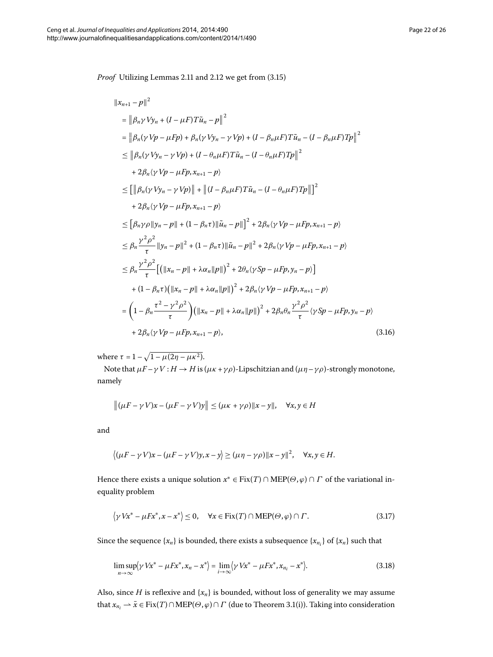*Proof* Utilizing Lemmas 2[.](#page-6-1)11 and 2.12 we get from (3.15)

$$
||x_{n+1} - p||^2
$$
  
\n
$$
= ||\beta_n \gamma V y_n + (I - \mu F) T \tilde{u}_n - p||^2
$$
  
\n
$$
= ||\beta_n (\gamma V p - \mu F p) + \beta_n (\gamma V y_n - \gamma V p) + (I - \beta_n \mu F) T \tilde{u}_n - (I - \beta_n \mu F) T p||^2
$$
  
\n
$$
\leq ||\beta_n (\gamma V y_n - \gamma V p) + (I - \theta_n \mu F) T \tilde{u}_n - (I - \theta_n \mu F) T p||^2
$$
  
\n
$$
+ 2\beta_n (\gamma V p - \mu F p, x_{n+1} - p)
$$
  
\n
$$
\leq [||\beta_n (\gamma V y_n - \gamma V p)|| + ||(I - \beta_n \mu F) T \tilde{u}_n - (I - \theta_n \mu F) T p||]^2
$$
  
\n
$$
+ 2\beta_n (\gamma V p - \mu F p, x_{n+1} - p)
$$
  
\n
$$
\leq [\beta_n \gamma \rho ||y_n - p|| + (1 - \beta_n \tau) ||\tilde{u}_n - p||^2 + 2\beta_n (\gamma V p - \mu F p, x_{n+1} - p)
$$
  
\n
$$
\leq \beta_n \frac{\gamma^2 \rho^2}{\tau} ||y_n - p||^2 + (1 - \beta_n \tau) ||\tilde{u}_n - p||^2 + 2\beta_n (\gamma V p - \mu F p, x_{n+1} - p)
$$
  
\n
$$
\leq \beta_n \frac{\gamma^2 \rho^2}{\tau} [(||x_n - p|| + \lambda \alpha_n ||p||)^2 + 2\theta_n (\gamma S p - \mu F p, y_n - p)]
$$
  
\n
$$
+ (1 - \beta_n \tau) (||x_n - p|| + \lambda \alpha_n ||p||)^2 + 2\beta_n (\gamma V p - \mu F p, x_{n+1} - p)
$$
  
\n
$$
= (1 - \beta_n \frac{\tau^2 - \gamma^2 \rho^2}{\tau}) (||x_n - p|| + \lambda \alpha_n ||p||)^2 + 2\beta_n \theta_n \frac{\gamma^2 \rho^2}{\tau} (\gamma S p - \mu F p, y_n - p)
$$
  
\n
$$
+ 2\beta_n (\gamma V p - \mu F p, x_{n+1} - p),
$$

<span id="page-21-2"></span>where  $\tau = 1 - \sqrt{1 - \mu(2\eta - \mu\kappa^2)}$ .

Note that  $\mu F - \gamma V : H \to H$  is  $(\mu \kappa + \gamma \rho)$ -Lipschitzian and  $(\mu \eta - \gamma \rho)$ -strongly monotone, namely

$$
\|(\mu F - \gamma V)x - (\mu F - \gamma V)y\| \leq (\mu \kappa + \gamma \rho) \|x - y\|, \quad \forall x, y \in H
$$

and

<span id="page-21-0"></span>
$$
\langle (\mu F - \gamma V)x - (\mu F - \gamma V)y, x - y \rangle \ge (\mu \eta - \gamma \rho) \|x - y\|^2, \quad \forall x, y \in H.
$$

Hence there exists a unique solution  $x^* \in Fix(T) \cap MEP(\Theta, \varphi) \cap \Gamma$  of the variational inequality problem

<span id="page-21-1"></span>
$$
\langle \gamma V x^* - \mu F x^*, x - x^* \rangle \le 0, \quad \forall x \in \text{Fix}(T) \cap \text{MEP}(\Theta, \varphi) \cap \Gamma. \tag{3.17}
$$

Since the sequence  $\{x_n\}$  is bounded, there exists a subsequence  $\{x_{n_i}\}$  of  $\{x_n\}$  such that

$$
\limsup_{n\to\infty} \langle \gamma Vx^* - \mu Fx^*, x_n - x^* \rangle = \lim_{i\to\infty} \langle \gamma Vx^* - \mu Fx^*, x_{n_i} - x^* \rangle.
$$
 (3.18)

Also, since *H* is reflexive and  $\{x_n\}$  is bounded, without loss of generality we may assume that  $x_{n_i} \rightharpoonup \bar{x} \in Fix(T) \cap MEP(\Theta, \varphi) \cap \Gamma$  (due to Theorem 3[.](#page-6-2)1(i)). Taking into consideration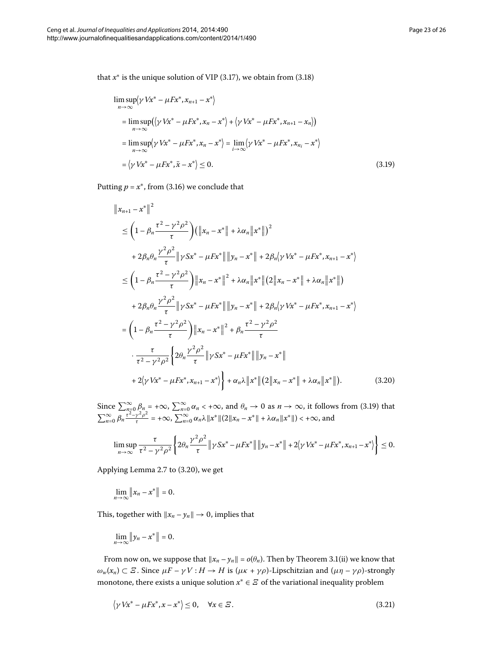that  $x^*$  is the unique solution of VIP (3.17), we obtain from (3.18)

<span id="page-22-0"></span>
$$
\limsup_{n \to \infty} \langle \gamma Vx^* - \mu Fx^*, x_{n+1} - x^* \rangle
$$
\n
$$
= \limsup_{n \to \infty} (\langle \gamma Vx^* - \mu Fx^*, x_n - x^* \rangle + \langle \gamma Vx^* - \mu Fx^*, x_{n+1} - x_n \rangle)
$$
\n
$$
= \limsup_{n \to \infty} \langle \gamma Vx^* - \mu Fx^*, x_n - x^* \rangle = \lim_{i \to \infty} \langle \gamma Vx^* - \mu Fx^*, x_{n_i} - x^* \rangle
$$
\n
$$
= \langle \gamma Vx^* - \mu Fx^*, \bar{x} - x^* \rangle \leq 0.
$$
\n(3.19)

Putting  $p = x^*$ , from (3[.](#page-21-2)16) we conclude that

<span id="page-22-1"></span>
$$
\|x_{n+1} - x^*\|^2
$$
  
\n
$$
\leq \left(1 - \beta_n \frac{\tau^2 - \gamma^2 \rho^2}{\tau}\right) (\|x_n - x^*\| + \lambda \alpha_n \|x^*\|)^2
$$
  
\n
$$
+ 2\beta_n \theta_n \frac{\gamma^2 \rho^2}{\tau} \| \gamma S x^* - \mu F x^* \| \|y_n - x^*\| + 2\beta_n \langle \gamma V x^* - \mu F x^*, x_{n+1} - x^* \rangle
$$
  
\n
$$
\leq \left(1 - \beta_n \frac{\tau^2 - \gamma^2 \rho^2}{\tau}\right) \|x_n - x^*\|^2 + \lambda \alpha_n \|x^* \| (2 \|x_n - x^* \| + \lambda \alpha_n \|x^* \|)
$$
  
\n
$$
+ 2\beta_n \theta_n \frac{\gamma^2 \rho^2}{\tau} \| \gamma S x^* - \mu F x^* \| \|y_n - x^* \| + 2\beta_n \langle \gamma V x^* - \mu F x^*, x_{n+1} - x^* \rangle
$$
  
\n
$$
= \left(1 - \beta_n \frac{\tau^2 - \gamma^2 \rho^2}{\tau}\right) \|x_n - x^*\|^2 + \beta_n \frac{\tau^2 - \gamma^2 \rho^2}{\tau}
$$
  
\n
$$
\cdot \frac{\tau}{\tau^2 - \gamma^2 \rho^2} \left\{2\theta_n \frac{\gamma^2 \rho^2}{\tau} \| \gamma S x^* - \mu F x^* \| \|y_n - x^* \|
$$
  
\n
$$
+ 2\langle \gamma V x^* - \mu F x^*, x_{n+1} - x^* \rangle \right\} + \alpha_n \lambda \|x^* \| (2 \|x_n - x^* \| + \lambda \alpha_n \|x^* \|).
$$
 (3.20)

Since  $\sum_{n=0}^{\infty} \beta_n = +\infty$ ,  $\sum_{n=0}^{\infty} \alpha_n < +\infty$ , and  $\theta_n \to 0$  as  $n \to \infty$ , it follows from (3.19) that  $\sum_{n=0}^{\infty} \beta_n \frac{\tau^2 - \gamma^2 \rho^2}{\tau} = +\infty$ ,  $\sum_{n=0}^{\infty} \alpha_n \lambda \|x^*\| (2\|x_n - x^*\| + \lambda \alpha_n \|x^*\|) < +\infty$ , and

$$
\limsup_{n \to \infty} \frac{\tau}{\tau^2 - \gamma^2 \rho^2} \left\{ 2\theta_n \frac{\gamma^2 \rho^2}{\tau} \| \gamma S x^* - \mu F x^* \| \| y_n - x^* \| + 2 \langle \gamma V x^* - \mu F x^*, x_{n+1} - x^* \rangle \right\} \le 0.
$$

Applying Lemma 2[.](#page-5-0)7 to (3.20), we get

$$
\lim_{n\to\infty}\|x_n-x^*\|=0.
$$

This, together with  $||x_n - y_n|| \to 0$ , implies that

<span id="page-22-2"></span>
$$
\lim_{n\to\infty}\|y_n-x^*\|=0.
$$

From now on, we suppose that  $||x_n - y_n|| = o(\theta_n)$ [.](#page-6-2) Then by Theorem 3.1(ii) we know that  $\omega_w(x_n) \subset \mathcal{Z}$ . Since  $\mu F - \gamma V : H \to H$  is  $(\mu \kappa + \gamma \rho)$ -Lipschitzian and  $(\mu \eta - \gamma \rho)$ -strongly monotone, there exists a unique solution  $x^* \in E$  of the variational inequality problem

$$
\langle \gamma V x^* - \mu F x^*, x - x^* \rangle \le 0, \quad \forall x \in \varXi. \tag{3.21}
$$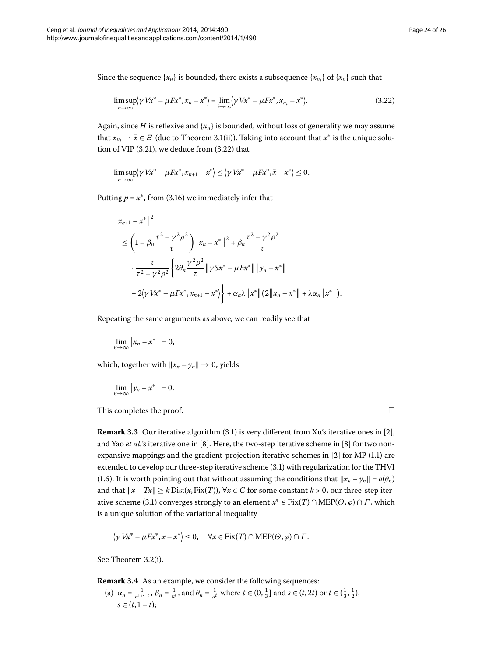Since the sequence  $\{x_n\}$  is bounded, there exists a subsequence  $\{x_{n_i}\}$  of  $\{x_n\}$  such that

<span id="page-23-0"></span>
$$
\limsup_{n \to \infty} \langle \gamma V x^* - \mu F x^*, x_n - x^* \rangle = \lim_{i \to \infty} \langle \gamma V x^* - \mu F x^*, x_{n_i} - x^* \rangle.
$$
 (3.22)

Again, since *H* is reflexive and  $\{x_n\}$  is bounded, without loss of generality we may assume that  $x_{n_i} \rightarrow \bar{x} \in \mathcal{Z}$  (due to Theorem 3.1(ii)). Taking into account that  $x^*$  is the unique solu-tion of VIP (3[.](#page-22-2)21), we deduce from  $(3.22)$  that

$$
\limsup_{n\to\infty}\langle \gamma Vx^* - \mu Fx^*, x_{n+1} - x^* \rangle \leq \langle \gamma Vx^* - \mu Fx^*, \bar{x} - x^* \rangle \leq 0.
$$

Putting  $p = x^*$ , from (3[.](#page-21-2)16) we immediately infer that

$$
\|x_{n+1} - x^*\|^2
$$
  
\n
$$
\leq \left(1 - \beta_n \frac{\tau^2 - \gamma^2 \rho^2}{\tau}\right) \|x_n - x^*\|^2 + \beta_n \frac{\tau^2 - \gamma^2 \rho^2}{\tau}
$$
  
\n
$$
\cdot \frac{\tau}{\tau^2 - \gamma^2 \rho^2} \left\{2\theta_n \frac{\gamma^2 \rho^2}{\tau} \|y S x^* - \mu F x^* \| \|y_n - x^*\|
$$
  
\n
$$
+ 2\langle \gamma V x^* - \mu F x^*, x_{n+1} - x^* \rangle \right\} + \alpha_n \lambda \|x^*\| (2 \|x_n - x^*\| + \lambda \alpha_n \|x^*\|).
$$

Repeating the same arguments as above, we can readily see that

$$
\lim_{n\to\infty}\|x_n-x^*\|=0,
$$

which, together with  $||x_n - y_n|| \to 0$ , yields

$$
\lim_{n\to\infty}\left\|y_n-x^*\right\|=0.
$$

This completes the proof. -

 $\Box$ 

**Remark 3.3** Our iterative algorithm (3.1) is very different from Xu's iterative ones in [2[\]](#page-24-7), and Yao *et al.*'s iterative one in [8[\]](#page-25-0). Here, the two-step iterative scheme in [\[](#page-25-0)8] for two nonexpansive mappings and the gradient-projection iterative schemes in  $[2]$  $[2]$  for MP (1.1) are extended to develop our three-step iterative scheme (3[.](#page-6-0)1) with regularization for the THVI (1[.](#page-3-0)6). It is worth pointing out that without assuming the conditions that  $||x_n - y_n|| = o(\theta_n)$ and that  $\|x - Tx\| \ge k \text{Dist}(x, \text{Fix}(T))$ ,  $\forall x \in C$  for some constant  $k > 0$ , our three-step iterative scheme (3.1) converges strongly to an element  $x^* \in Fix(T) \cap MEP(\Theta, \varphi) \cap \Gamma$ , which is a unique solution of the variational inequality

$$
\langle \gamma V x^* - \mu F x^*, x - x^* \rangle \leq 0, \quad \forall x \in \text{Fix}(T) \cap \text{MEP}(\Theta, \varphi) \cap \Gamma.
$$

See Theorem 3[.](#page-20-0)2(i).

**Remark 3.4** As an example, we consider the following sequences:

(a) 
$$
\alpha_n = \frac{1}{n^{1+s+t}}, \beta_n = \frac{1}{n^s}
$$
, and  $\theta_n = \frac{1}{n^t}$  where  $t \in (0, \frac{1}{3}]$  and  $s \in (t, 2t)$  or  $t \in (\frac{1}{3}, \frac{1}{2})$ ,  $s \in (t, 1 - t)$ ;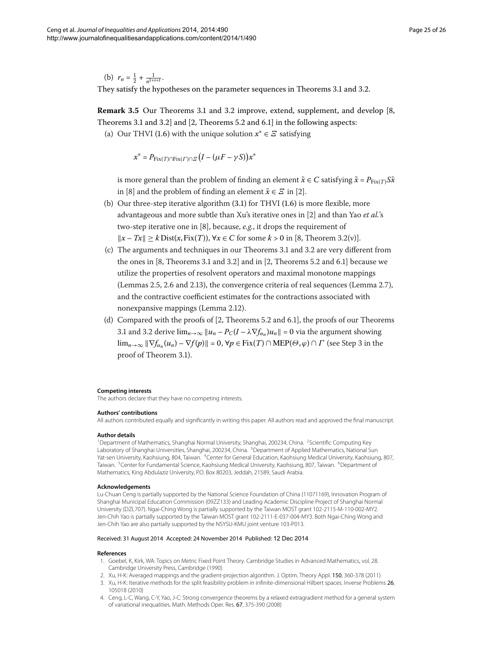(b)  $r_n = \frac{1}{2} + \frac{1}{n^{1+s+t}}$ . They satisfy the hypotheses on the parameter sequences in Theorems 3[.](#page-20-0)1 and 3.2.

**Remark 3[.](#page-20-0)5** Our Theorems 3.1 and 3.2 improve, extend, supplement, and develop [\[](#page-25-0)8, Theorems 3.1 and 3.2 and  $[2,$  $[2,$  Theorems 5.2 and 6.1 in the following aspects:

(a) Our THVI (1.6) with the unique solution  $x^* \in E$  satisfying

 $x^* = P_{\text{Fix}(T) \cap \text{Fix}(T) \cap \mathcal{Z}} \left( I - (\mu F - \gamma S) \right) x^*$ 

is more general than the problem of finding an element  $\tilde{x} \in C$  satisfying  $\tilde{x} = P_{Fix(T)} S \tilde{x}$ in [\[](#page-24-7)8] and the problem of finding an element  $\tilde{x} \in \mathcal{E}$  in [2].

- (b) Our three-step iterative algorithm  $(3.1)$  for THVI  $(1.6)$  is more flexible, more advantageous and more subtle than Xu's iterative ones in [2[\]](#page-24-7) and than Yao et al.'s two-step iterative one in [8], because, e.g., it drops the requirement of  $||x - Tx||$  ≥ *k* Dist(*x*, Fix(*T*)),  $∀x ∈ C$  for some *k* > 0 in [\[](#page-25-0)8, Theorem 3.2(*v*)].
- (c) The arguments and techniques in our Theorems 3[.](#page-20-0)1 and 3.2 are very different from the ones in  $[8$  $[8$ , Theorems 3.1 and 3.2] and in  $[2$ , Theorems 5.2 and 6.1] because we utilize the properties of resolvent operators and maximal monotone mappings (Lemmas 2[.](#page-5-3)5, 2.6 and 2.13), the convergence criteria of real sequences (Lemma 2.7), and the contractive coefficient estimates for the contractions associated with nonexpansive mappings (Lemma 2[.](#page-6-1)12).
- <span id="page-24-1"></span>(d) Compared with the proofs of  $[2,$  $[2,$  Theorems 5.2 and 6.1], the proofs of our Theorems 3[.](#page-20-0)1 and 3.2 derive  $\lim_{n\to\infty} ||u_n - P_C(I - \lambda \nabla f_{\alpha_n})u_n|| = 0$  via the argument showing lim<sub>*n*→∞</sub>  $\|\nabla f_{\alpha_n}(u_n) - \nabla f(p)\| = 0$ ,  $\forall p \in Fix(T) \cap MEP(\Theta, \varphi) \cap \Gamma$  (see Step 3 in the proof of Theorem 3.1).

#### <span id="page-24-5"></span><span id="page-24-4"></span><span id="page-24-3"></span><span id="page-24-2"></span><span id="page-24-0"></span>**Competing interests**

The authors declare that they have no competing interests.

#### **Authors' contributions**

All authors contributed equally and significantly in writing this paper. All authors read and approved the final manuscript.

#### **Author details**

<sup>1</sup> Department of Mathematics, Shanghai Normal University, Shanghai, 200234, China. <sup>2</sup> Scientific Computing Key Laboratory of Shanghai Universities, Shanghai, 200234, China. <sup>3</sup>Department of Applied Mathematics, National Sun Yat-sen University, Kaohsiung, 804, Taiwan. <sup>4</sup>Center for General Education, Kaohsiung Medical University, Kaohsiung, 807, Taiwan. <sup>5</sup>Center for Fundamental Science, Kaohsiung Medical University, Kaohsiung, 807, Taiwan. <sup>6</sup>Department of Mathematics, King Abdulaziz University, P.O. Box 80203, Jeddah, 21589, Saudi Arabia.

#### <span id="page-24-6"></span>**Acknowledgements**

<span id="page-24-8"></span><span id="page-24-7"></span>Lu-Chuan Ceng is partially supported by the National Science Foundation of China (11071169), Innovation Program of Shanghai Municipal Education Commission (09ZZ133) and Leading Academic Discipline Project of Shanghai Normal University (DZL707). Ngai-Ching Wong is partially supported by the Taiwan MOST grant 102-2115-M-110-002-MY2. Jen-Chih Yao is partially supported by the Taiwan MOST grant 102-2111-E-037-004-MY3. Both Ngai-Ching Wong and Jen-Chih Yao are also partially supported by the NSYSU-KMU joint venture 103-P013.

#### <span id="page-24-9"></span>Received: 31 August 2014 Accepted: 24 November 2014 Published: 12 Dec 2014

#### **References**

- 1. Goebel, K, Kirk, WA: Topics on Metric Fixed Point Theory. Cambridge Studies in Advanced Mathematics, vol. 28. Cambridge University Press, Cambridge (1990)
- 2. Xu, H-K: Averaged mappings and the gradient-projection algorithm. J. Optim. Theory Appl. 150, 360-378 (2011)
- 3. Xu, H-K: Iterative methods for the split feasibility problem in infinite-dimensional Hilbert spaces. Inverse Problems 26,
- 105018 (2010) 4. Ceng, L-C, Wang, C-Y, Yao, J-C: Strong convergence theorems by a relaxed extragradient method for a general system of variational inequalities. Math. Methods Oper. Res. 67, 375-390 (2008)